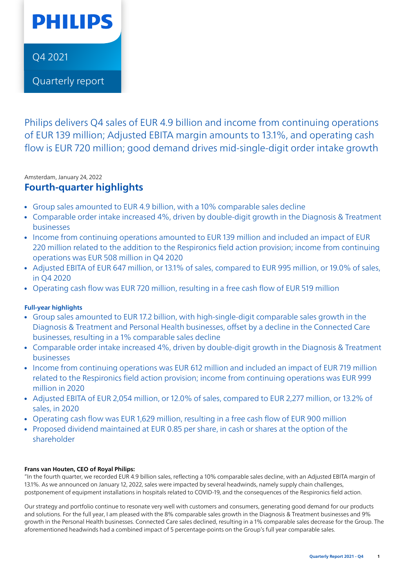

[Q4 2021](https://www.results.philips.com/)

[Quarterly report](https://www.results.philips.com/)

Philips delivers Q4 sales of EUR 4.9 billion and income from continuing operations of EUR 139 million; Adjusted EBITA margin amounts to 13.1%, and operating cash flow is EUR 720 million; good demand drives mid-single-digit order intake growth

### Amsterdam, January 24, 2022

## **Fourth-quarter highlights**

- Group sales amounted to EUR 4.9 billion, with a 10% comparable sales decline
- Comparable order intake increased 4%, driven by double-digit growth in the Diagnosis & Treatment businesses
- Income from continuing operations amounted to EUR 139 million and included an impact of EUR 220 million related to the addition to the Respironics field action provision; income from continuing operations was EUR 508 million in Q4 2020
- Adjusted EBITA of EUR 647 million, or 13.1% of sales, compared to EUR 995 million, or 19.0% of sales, in Q4 2020
- Operating cash flow was EUR 720 million, resulting in a free cash flow of EUR 519 million

## **Full-year highlights**

- Group sales amounted to EUR 17.2 billion, with high-single-digit comparable sales growth in the Diagnosis & Treatment and Personal Health businesses, offset by a decline in the Connected Care businesses, resulting in a 1% comparable sales decline
- Comparable order intake increased 4%, driven by double-digit growth in the Diagnosis & Treatment businesses
- Income from continuing operations was EUR 612 million and included an impact of EUR 719 million related to the Respironics field action provision; income from continuing operations was EUR 999 million in 2020
- Adjusted EBITA of EUR 2,054 million, or 12.0% of sales, compared to EUR 2,277 million, or 13.2% of sales, in 2020
- Operating cash flow was EUR 1,629 million, resulting in a free cash flow of EUR 900 million
- Proposed dividend maintained at EUR 0.85 per share, in cash or shares at the option of the shareholder

### **Frans van Houten, CEO of Royal Philips:**

"In the fourth quarter, we recorded EUR 4.9 billion sales, reflecting a 10% comparable sales decline, with an Adjusted EBITA margin of 13.1%. As we announced on January 12, 2022, sales were impacted by several headwinds, namely supply chain challenges, postponement of equipment installations in hospitals related to COVID-19, and the consequences of the Respironics field action.

Our strategy and portfolio continue to resonate very well with customers and consumers, generating good demand for our products and solutions. For the full year, I am pleased with the 8% comparable sales growth in the Diagnosis & Treatment businesses and 9% growth in the Personal Health businesses. Connected Care sales declined, resulting in a 1% comparable sales decrease for the Group. The aforementioned headwinds had a combined impact of 5 percentage-points on the Group's full year comparable sales.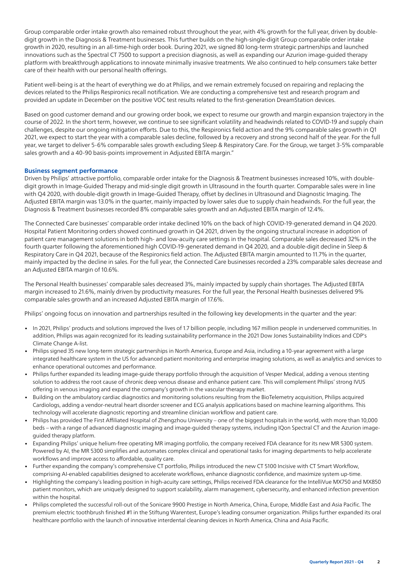Group comparable order intake growth also remained robust throughout the year, with 4% growth for the full year, driven by doubledigit growth in the Diagnosis & Treatment businesses. This further builds on the high-single-digit Group comparable order intake growth in 2020, resulting in an all-time-high order book. During 2021, we signed 80 long-term strategic partnerships and launched innovations such as the Spectral CT 7500 to support a precision diagnosis, as well as expanding our Azurion image-guided therapy platform with breakthrough applications to innovate minimally invasive treatments. We also continued to help consumers take better care of their health with our personal health offerings.

Patient well-being is at the heart of everything we do at Philips, and we remain extremely focused on repairing and replacing the devices related to the Philips Respironics recall notification. We are conducting a comprehensive test and research program and provided an update in December on the positive VOC test results related to the first-generation DreamStation devices.

Based on good customer demand and our growing order book, we expect to resume our growth and margin expansion trajectory in the course of 2022. In the short term, however, we continue to see significant volatility and headwinds related to COVID-19 and supply chain challenges, despite our ongoing mitigation efforts. Due to this, the Respironics field action and the 9% comparable sales growth in Q1 2021, we expect to start the year with a comparable sales decline, followed by a recovery and strong second half of the year. For the full year, we target to deliver 5-6% comparable sales growth excluding Sleep & Respiratory Care. For the Group, we target 3-5% comparable sales growth and a 40-90 basis-points improvement in Adjusted EBITA margin."

#### **Business segment performance**

Driven by Philips' attractive portfolio, comparable order intake for the Diagnosis & Treatment businesses increased 10%, with doubledigit growth in Image-Guided Therapy and mid-single digit growth in Ultrasound in the fourth quarter. Comparable sales were in line with Q4 2020, with double-digit growth in Image-Guided Therapy, offset by declines in Ultrasound and Diagnostic Imaging. The Adjusted EBITA margin was 13.0% in the quarter, mainly impacted by lower sales due to supply chain headwinds. For the full year, the Diagnosis & Treatment businesses recorded 8% comparable sales growth and an Adjusted EBITA margin of 12.4%.

The Connected Care businesses' comparable order intake declined 10% on the back of high COVID-19-generated demand in Q4 2020. Hospital Patient Monitoring orders showed continued growth in Q4 2021, driven by the ongoing structural increase in adoption of patient care management solutions in both high- and low-acuity care settings in the hospital. Comparable sales decreased 32% in the fourth quarter following the aforementioned high COVID-19-generated demand in Q4 2020, and a double-digit decline in Sleep & Respiratory Care in Q4 2021, because of the Respironics field action. The Adjusted EBITA margin amounted to 11.7% in the quarter, mainly impacted by the decline in sales. For the full year, the Connected Care businesses recorded a 23% comparable sales decrease and an Adjusted EBITA margin of 10.6%.

The Personal Health businesses' comparable sales decreased 3%, mainly impacted by supply chain shortages. The Adjusted EBITA margin increased to 21.6%, mainly driven by productivity measures. For the full year, the Personal Health businesses delivered 9% comparable sales growth and an increased Adjusted EBITA margin of 17.6%.

Philips' ongoing focus on innovation and partnerships resulted in the following key developments in the quarter and the year:

- In 2021, Philips' products and solutions improved the lives of 1.7 billion people, including 167 million people in underserved communities. In addition, Philips was again recognized for its leading sustainability performance in the 2021 Dow Jones Sustainability Indices and CDP's Climate Change A-list.
- Philips signed 35 new long-term strategic partnerships in North America, Europe and Asia, including a 10-year agreement with a large integrated healthcare system in the US for advanced patient monitoring and enterprise imaging solutions, as well as analytics and services to enhance operational outcomes and performance.
- Philips further expanded its leading image-guide therapy portfolio through the acquisition of Vesper Medical, adding a venous stenting solution to address the root cause of chronic deep venous disease and enhance patient care. This will complement Philips' strong IVUS offering in venous imaging and expand the company's growth in the vascular therapy market.
- Building on the ambulatory cardiac diagnostics and monitoring solutions resulting from the BioTelemetry acquisition, Philips acquired Cardiologs, adding a vendor-neutral heart disorder screener and ECG analysis applications based on machine learning algorithms. This technology will accelerate diagnostic reporting and streamline clinician workflow and patient care.
- Philips has provided The First Affiliated Hospital of Zhengzhou University one of the biggest hospitals in the world, with more than 10,000 beds – with a range of advanced diagnostic imaging and image-guided therapy systems, including IQon Spectral CT and the Azurion imageguided therapy platform.
- Expanding Philips' unique helium-free operating MR imaging portfolio, the company received FDA clearance for its new MR 5300 system. Powered by AI, the MR 5300 simplifies and automates complex clinical and operational tasks for imaging departments to help accelerate workflows and improve access to affordable, quality care.
- Further expanding the company's comprehensive CT portfolio, Philips introduced the new CT 5100 Incisive with CT Smart Workflow, comprising AI-enabled capabilities designed to accelerate workflows, enhance diagnostic confidence, and maximize system up-time.
- Highlighting the company's leading position in high-acuity care settings, Philips received FDA clearance for the IntelliVue MX750 and MX850 patient monitors, which are uniquely designed to support scalability, alarm management, cybersecurity, and enhanced infection prevention within the hospital.
- Philips completed the successful roll-out of the Sonicare 9900 Prestige in North America, China, Europe, Middle East and Asia Pacific. The premium electric toothbrush finished #1 in the Stiftung Warentest, Europe's leading consumer organization. Philips further expanded its oral healthcare portfolio with the launch of innovative interdental cleaning devices in North America, China and Asia Pacific.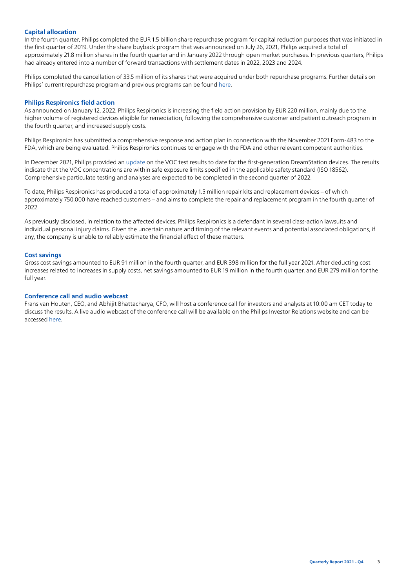### **Capital allocation**

In the fourth quarter, Philips completed the EUR 1.5 billion share repurchase program for capital reduction purposes that was initiated in the first quarter of 2019. Under the share buyback program that was announced on July 26, 2021, Philips acquired a total of approximately 21.8 million shares in the fourth quarter and in January 2022 through open market purchases. In previous quarters, Philips had already entered into a number of forward transactions with settlement dates in 2022, 2023 and 2024.

Philips completed the cancellation of 33.5 million of its shares that were acquired under both repurchase programs. Further details on Philips' current repurchase program and previous programs can be found [here](https://www.philips.com/a-w/about/investor-relations/stock.html#slide_share-repurchases).

#### **Philips Respironics field action**

As announced on January 12, 2022, Philips Respironics is increasing the field action provision by EUR 220 million, mainly due to the higher volume of registered devices eligible for remediation, following the comprehensive customer and patient outreach program in the fourth quarter, and increased supply costs.

Philips Respironics has submitted a comprehensive response and action plan in connection with the November 2021 Form-483 to the FDA, which are being evaluated. Philips Respironics continues to engage with the FDA and other relevant competent authorities.

In December 2021, Philips provided an [update](https://www.philips.com/a-w/about/news/archive/standard/news/press/2021/20211223-philips-provides-update-on-the-test-and-research-program-in-connection-with-the-cpap-bipap-and-mechanical-ventilator-recall-notification.html) on the VOC test results to date for the first-generation DreamStation devices. The results indicate that the VOC concentrations are within safe exposure limits specified in the applicable safety standard (ISO 18562). Comprehensive particulate testing and analyses are expected to be completed in the second quarter of 2022.

To date, Philips Respironics has produced a total of approximately 1.5 million repair kits and replacement devices – of which approximately 750,000 have reached customers – and aims to complete the repair and replacement program in the fourth quarter of 2022.

As previously disclosed, in relation to the affected devices, Philips Respironics is a defendant in several class-action lawsuits and individual personal injury claims. Given the uncertain nature and timing of the relevant events and potential associated obligations, if any, the company is unable to reliably estimate the financial effect of these matters.

### **Cost savings**

Gross cost savings amounted to EUR 91 million in the fourth quarter, and EUR 398 million for the full year 2021. After deducting cost increases related to increases in supply costs, net savings amounted to EUR 19 million in the fourth quarter, and EUR 279 million for the full year.

### **Conference call and audio webcast**

Frans van Houten, CEO, and Abhijit Bhattacharya, CFO, will host a conference call for investors and analysts at 10:00 am CET today to discuss the results. A live audio webcast of the conference call will be available on the Philips Investor Relations website and can be accessed [here](https://edge.media-server.com/mmc/p/csa2jr2s).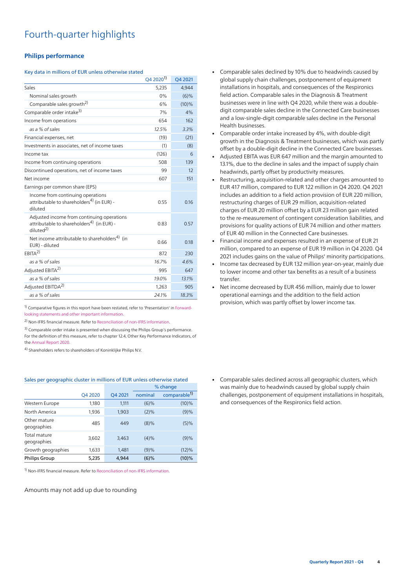# Fourth-quarter highlights

#### **Philips performance**

#### Key data in millions of EUR unless otherwise stated

|                                                                                                                             | Q4 2020 <sup>1)</sup> | Q4 2021  |
|-----------------------------------------------------------------------------------------------------------------------------|-----------------------|----------|
| Sales                                                                                                                       | 5,235                 | 4,944    |
| Nominal sales growth                                                                                                        | 0%                    | $(6)\%$  |
| Comparable sales growth <sup>2)</sup>                                                                                       | 6%                    | $(10)\%$ |
| Comparable order intake <sup>3)</sup>                                                                                       | 7%                    | 4%       |
| Income from operations                                                                                                      | 654                   | 162      |
| as a % of sales                                                                                                             | 12.5%                 | 3.3%     |
| Financial expenses, net                                                                                                     | (19)                  | (21)     |
| Investments in associates, net of income taxes                                                                              | (1)                   | (8)      |
| Income tax                                                                                                                  | (126)                 | 6        |
| Income from continuing operations                                                                                           | 508                   | 139      |
| Discontinued operations, net of income taxes                                                                                | 99                    | 12       |
| Net income                                                                                                                  | 607                   | 151      |
| Earnings per common share (EPS)                                                                                             |                       |          |
| Income from continuing operations<br>attributable to shareholders <sup>4)</sup> (in EUR) -<br>diluted                       | 0.55                  | 0.16     |
| Adjusted income from continuing operations<br>attributable to shareholders <sup>4)</sup> (in EUR) -<br>diluted <sup>2</sup> | 0.83                  | 0.57     |
| Net income attributable to shareholders <sup>4)</sup> (in<br>EUR) - diluted                                                 | 0.66                  | 0.18     |
| EBITA <sup>2</sup>                                                                                                          | 872                   | 230      |
| as a % of sales                                                                                                             | 16.7%                 | 4.6%     |
| Adjusted EBITA <sup>2)</sup>                                                                                                | 995                   | 647      |
| as a % of sales                                                                                                             | 19.0%                 | 13.1%    |
| Adjusted EBITDA <sup>2)</sup>                                                                                               | 1,263                 | 905      |
| as a % of sales                                                                                                             | 24.1%                 | 18.3%    |

<span id="page-3-0"></span><sup>1)</sup> Comparative figures in this report have been restated, refer to 'Presentation' in [Forward](#page-12-0)[looking statements and other important information](#page-12-0).

<span id="page-3-1"></span>2) Non-IFRS financial measure. Refer to [Reconciliation of non-IFRS information](#page-18-0).

<span id="page-3-2"></span><sup>3)</sup> Comparable order intake is presented when discussing the Philips Group's performance. For the definition of this measure, refer to chapter 12.4, Other Key Performance Indicators, of the [Annual Report 2020](https://www.results.philips.com/publications/ar20/downloads/pdf/en/PhilipsFullAnnualReport2020-English.pdf?v=20211204143501).

<span id="page-3-3"></span>4) Shareholders refers to shareholders of Koninklijke Philips N.V.

## Sales per geographic cluster in millions of EUR unless otherwise stated

|                             |         | % change |         |                          |
|-----------------------------|---------|----------|---------|--------------------------|
|                             | Q4 2020 | Q4 2021  | nominal | comparable <sup>1)</sup> |
| Western Europe              | 1,180   | 1,111    | $(6)\%$ | $(10)\%$                 |
| North America               | 1,936   | 1,903    | $(2)\%$ | (9)%                     |
| Other mature<br>geographies | 485     | 449      | $(8)\%$ | (5)%                     |
| Total mature<br>geographies | 3,602   | 3,463    | $(4)\%$ | (9)%                     |
| Growth geographies          | 1,633   | 1,481    | (9)%    | $(12)\%$                 |
| <b>Philips Group</b>        | 5,235   | 4.944    | $(6)$ % | $(10)\%$                 |

1) Non-IFRS financial measure. Refer to [Reconciliation of non-IFRS information.](#page-18-0)

Amounts may not add up due to rounding

- Comparable sales declined by 10% due to headwinds caused by global supply chain challenges, postponement of equipment installations in hospitals, and consequences of the Respironics field action. Comparable sales in the Diagnosis & Treatment businesses were in line with Q4 2020, while there was a doubledigit comparable sales decline in the Connected Care businesses and a low-single-digit comparable sales decline in the Personal Health businesses.
- Comparable order intake increased by 4%, with double-digit growth in the Diagnosis & Treatment businesses, which was partly offset by a double-digit decline in the Connected Care businesses.
- Adjusted EBITA was EUR 647 million and the margin amounted to 13.1%, due to the decline in sales and the impact of supply chain headwinds, partly offset by productivity measures.
- Restructuring, acquisition-related and other charges amounted to EUR 417 million, compared to EUR 122 million in Q4 2020. Q4 2021 includes an addition to a field action provision of EUR 220 million, restructuring charges of EUR 29 million, acquisition-related charges of EUR 20 million offset by a EUR 23 million gain related to the re-measurement of contingent consideration liabilities, and provisions for quality actions of EUR 74 million and other matters of EUR 40 million in the Connected Care businesses.
- Financial income and expenses resulted in an expense of EUR 21 million, compared to an expense of EUR 19 million in Q4 2020. Q4 2021 includes gains on the value of Philips' minority participations.
- Income tax decreased by EUR 132 million year-on-year, mainly due to lower income and other tax benefits as a result of a business transfer.
- Net income decreased by EUR 456 million, mainly due to lower operational earnings and the addition to the field action provision, which was partly offset by lower income tax.

• Comparable sales declined across all geographic clusters, which was mainly due to headwinds caused by global supply chain challenges, postponement of equipment installations in hospitals, and consequences of the Respironics field action.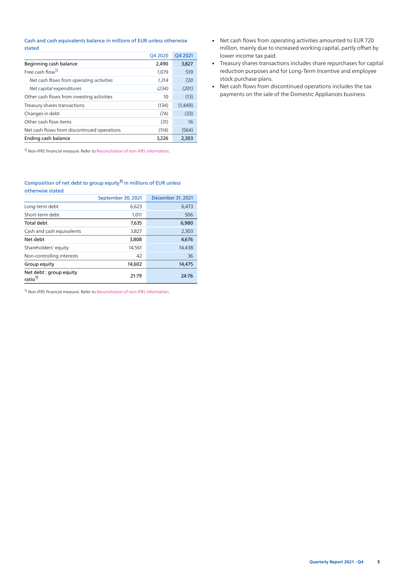#### Cash and cash equivalents balance in millions of EUR unless otherwise stated

|                                             | Q4 2020 | Q4 2021 |
|---------------------------------------------|---------|---------|
| Beginning cash balance                      | 2.490   | 3,827   |
| Free cash flow <sup>1)</sup>                | 1,079   | 519     |
| Net cash flows from operating activities    | 1.314   | 720     |
| Net capital expenditures                    | (234)   | (201)   |
| Other cash flows from investing activities  | 10      | (13)    |
| Treasury shares transactions                | (134)   | (1,449) |
| Changes in debt                             | (74)    | (33)    |
| Other cash flow items                       | (31)    | 16      |
| Net cash flows from discontinued operations | (114)   | (564)   |
| Ending cash balance                         | 3.226   | 2.303   |

1) Non-IFRS financial measure. Refer to [Reconciliation of non-IFRS information.](#page-18-0)

#### Composition of net debt to group equity<sup>[1\)](#page-3-1)</sup> in millions of EUR unless otherwise stated

|                                               | September 30, 2021 | December 31, 2021 |
|-----------------------------------------------|--------------------|-------------------|
| Long-term debt                                | 6,623              | 6,473             |
| Short-term debt                               | 1,011              | 506               |
| Total debt                                    | 7,635              | 6,980             |
| Cash and cash equivalents                     | 3,827              | 2,303             |
| Net debt                                      | 3,808              | 4,676             |
| Shareholders' equity                          | 14,561             | 14,438            |
| Non-controlling interests                     | 42                 | 36                |
| Group equity                                  | 14,602             | 14,475            |
| Net debt: group equity<br>ratio <sup>1)</sup> | 21:79              | 24:76             |

- Net cash flows from operating activities amounted to EUR 720 million, mainly due to increased working capital, partly offset by lower income tax paid.
- Treasury shares transactions includes share repurchases for capital reduction purposes and for Long-Term Incentive and employee stock purchase plans.
- Net cash flows from discontinued operations includes the tax payments on the sale of the Domestic Appliances business.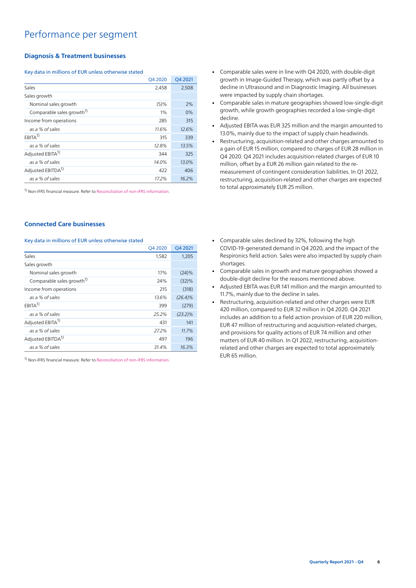### **Diagnosis & Treatment businesses**

#### Key data in millions of EUR unless otherwise stated

|                                       | Q4 2020 | O4 2021 |
|---------------------------------------|---------|---------|
| Sales                                 | 2,458   | 2,508   |
| Sales growth                          |         |         |
| Nominal sales growth                  | $(5)\%$ | 2%      |
| Comparable sales growth <sup>1)</sup> | $1\%$   | 0%      |
| Income from operations                | 285     | 315     |
| as a % of sales                       | 11.6%   | 12.6%   |
| $EBITA^{1}$                           | 315     | 339     |
| as a % of sales                       | 12.8%   | 13.5%   |
| Adjusted EBITA <sup>1)</sup>          | 344     | 325     |
| as a % of sales                       | 14.0%   | 13.0%   |
| Adjusted EBITDA <sup>1)</sup>         | 422     | 406     |
| as a % of sales                       | 17.2%   | 16.2%   |

<sup>1)</sup> Non-IFRS financial measure. Refer to [Reconciliation of non-IFRS information.](#page-18-0)

### **Connected Care businesses**

#### Key data in millions of EUR unless otherwise stated

|                                       | Q4 2020 | Q4 2021    |
|---------------------------------------|---------|------------|
| Sales                                 | 1,582   | 1,205      |
| Sales growth                          |         |            |
| Nominal sales growth                  | 17%     | $(24)\%$   |
| Comparable sales growth <sup>1)</sup> | 24%     | (32)%      |
| Income from operations                | 215     | (318)      |
| as a % of sales                       | 13.6%   | $(26.4)\%$ |
| EBITA <sup>1</sup>                    | 399     | (279)      |
| as a % of sales                       | 25.2%   | $(23.2)\%$ |
| Adjusted EBITA <sup>1)</sup>          | 431     | 141        |
| as a % of sales                       | 27.2%   | 11.7%      |
| Adjusted EBITDA <sup>1)</sup>         | 497     | 196        |
| as a % of sales                       | 31.4%   | 16.3%      |

- Comparable sales were in line with Q4 2020, with double-digit growth in Image-Guided Therapy, which was partly offset by a decline in Ultrasound and in Diagnostic Imaging. All businesses were impacted by supply chain shortages.
- Comparable sales in mature geographies showed low-single-digit growth, while growth geographies recorded a low-single-digit decline.
- Adjusted EBITA was EUR 325 million and the margin amounted to 13.0%, mainly due to the impact of supply chain headwinds.
- Restructuring, acquisition-related and other charges amounted to a gain of EUR 15 million, compared to charges of EUR 28 million in Q4 2020. Q4 2021 includes acquisition-related charges of EUR 10 million, offset by a EUR 26 million gain related to the remeasurement of contingent consideration liabilities. In Q1 2022, restructuring, acquisition-related and other charges are expected to total approximately EUR 25 million.
- Comparable sales declined by 32%, following the high COVID-19-generated demand in Q4 2020, and the impact of the Respironics field action. Sales were also impacted by supply chain shortages.
- Comparable sales in growth and mature geographies showed a double-digit decline for the reasons mentioned above.
- Adjusted EBITA was EUR 141 million and the margin amounted to 11.7%, mainly due to the decline in sales.
- Restructuring, acquisition-related and other charges were EUR 420 million, compared to EUR 32 million in Q4 2020. Q4 2021 includes an addition to a field action provision of EUR 220 million, EUR 47 million of restructuring and acquisition-related charges, and provisions for quality actions of EUR 74 million and other matters of EUR 40 million. In Q1 2022, restructuring, acquisitionrelated and other charges are expected to total approximately EUR 65 million.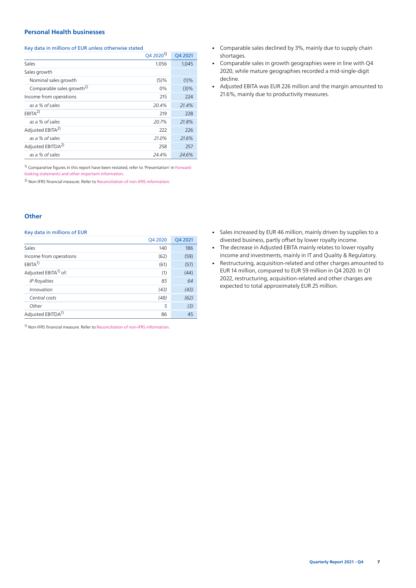### **Personal Health businesses**

#### Key data in millions of EUR unless otherwise stated

|                                       | $Q42020^{1}$ | O4 2021 |
|---------------------------------------|--------------|---------|
| Sales                                 | 1,056        | 1,045   |
| Sales growth                          |              |         |
| Nominal sales growth                  | $(5)\%$      | (1)%    |
| Comparable sales growth <sup>2)</sup> | $0\%$        | $(3)\%$ |
| Income from operations                | 215          | 224     |
| as a % of sales                       | 20.4%        | 21.4%   |
| EBITA <sup>2</sup>                    | 219          | 228     |
| as a % of sales                       | 20.7%        | 21.8%   |
| Adjusted EBITA <sup>2)</sup>          | 222          | 226     |
| as a % of sales                       | 21.0%        | 21.6%   |
| Adjusted EBITDA <sup>2)</sup>         | 258          | 257     |
| as a % of sales                       | 24.4%        | 24.6%   |

<sup>1)</sup> Comparative figures in this report have been restated, refer to 'Presentation' in [Forward](#page-12-0)[looking statements and other important information](#page-12-0).

2) Non-IFRS financial measure. Refer to [Reconciliation of non-IFRS information](#page-18-0).

#### **Other**

#### Key data in millions of EUR

|                                  | Q4 2020 | Q4 2021 |
|----------------------------------|---------|---------|
| Sales                            | 140     | 186     |
| Income from operations           | (62)    | (59)    |
| $EBITA^{1}$                      | (61)    | (57)    |
| Adjusted EBITA <sup>1)</sup> of: | (1)     | (44)    |
| <b>IP Royalties</b>              | 85      | 64      |
| Innovation                       | (43)    | (43)    |
| Central costs                    | (48)    | (62)    |
| Other                            | 5       | (3)     |
| Adjusted EBITDA <sup>1)</sup>    | 86      | 45      |

- Comparable sales declined by 3%, mainly due to supply chain shortages.
- Comparable sales in growth geographies were in line with Q4 2020, while mature geographies recorded a mid-single-digit decline.
- Adjusted EBITA was EUR 226 million and the margin amounted to 21.6%, mainly due to productivity measures.

- Sales increased by EUR 46 million, mainly driven by supplies to a divested business, partly offset by lower royalty income.
- The decrease in Adjusted EBITA mainly relates to lower royalty income and investments, mainly in IT and Quality & Regulatory.
- Restructuring, acquisition-related and other charges amounted to EUR 14 million, compared to EUR 59 million in Q4 2020. In Q1 2022, restructuring, acquisition-related and other charges are expected to total approximately EUR 25 million.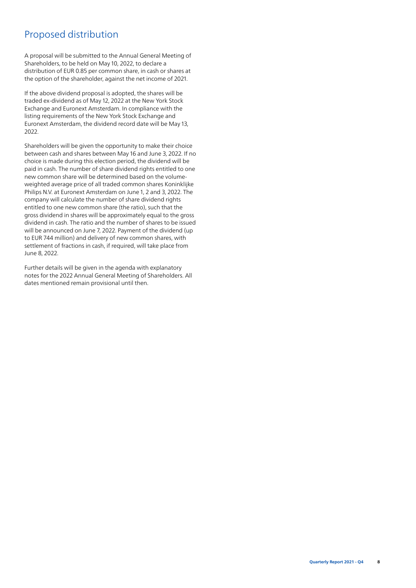# Proposed distribution

A proposal will be submitted to the Annual General Meeting of Shareholders, to be held on May 10, 2022, to declare a distribution of EUR 0.85 per common share, in cash or shares at the option of the shareholder, against the net income of 2021.

If the above dividend proposal is adopted, the shares will be traded ex-dividend as of May 12, 2022 at the New York Stock Exchange and Euronext Amsterdam. In compliance with the listing requirements of the New York Stock Exchange and Euronext Amsterdam, the dividend record date will be May 13, 2022.

Shareholders will be given the opportunity to make their choice between cash and shares between May 16 and June 3, 2022. If no choice is made during this election period, the dividend will be paid in cash. The number of share dividend rights entitled to one new common share will be determined based on the volumeweighted average price of all traded common shares Koninklijke Philips N.V. at Euronext Amsterdam on June 1, 2 and 3, 2022. The company will calculate the number of share dividend rights entitled to one new common share (the ratio), such that the gross dividend in shares will be approximately equal to the gross dividend in cash. The ratio and the number of shares to be issued will be announced on June 7, 2022. Payment of the dividend (up to EUR 744 million) and delivery of new common shares, with settlement of fractions in cash, if required, will take place from June 8, 2022.

Further details will be given in the agenda with explanatory notes for the 2022 Annual General Meeting of Shareholders. All dates mentioned remain provisional until then.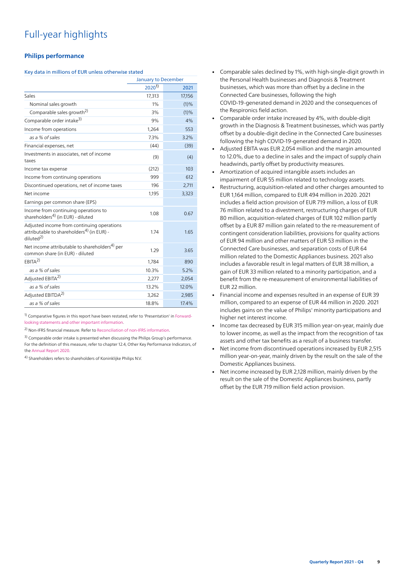# Full-year highlights

### **Philips performance**

#### Key data in millions of EUR unless otherwise stated

|                                                                                                                              | January to December |        |
|------------------------------------------------------------------------------------------------------------------------------|---------------------|--------|
|                                                                                                                              | $2020^{1}$          | 2021   |
| Sales                                                                                                                        | 17,313              | 17,156 |
| Nominal sales growth                                                                                                         | 1%                  | (1)%   |
| Comparable sales growth <sup>2)</sup>                                                                                        | 3%                  | (1)%   |
| Comparable order intake <sup>3)</sup>                                                                                        | 9%                  | 4%     |
| Income from operations                                                                                                       | 1.264               | 553    |
| as a % of sales                                                                                                              | 7.3%                | 3.2%   |
| Financial expenses, net                                                                                                      | (44)                | (39)   |
| Investments in associates, net of income<br>taxes                                                                            | (9)                 | (4)    |
| Income tax expense                                                                                                           | (212)               | 103    |
| Income from continuing operations                                                                                            | 999                 | 612    |
| Discontinued operations, net of income taxes                                                                                 | 196                 | 2,711  |
| Net income                                                                                                                   | 1,195               | 3,323  |
| Earnings per common share (EPS)                                                                                              |                     |        |
| Income from continuing operations to<br>shareholders <sup>4)</sup> (in EUR) - diluted                                        | 1.08                | 0.67   |
| Adjusted income from continuing operations<br>attributable to shareholders <sup>4)</sup> (in EUR) -<br>diluted <sup>2)</sup> | 1.74                | 1.65   |
| Net income attributable to shareholders <sup>4)</sup> per<br>common share (in EUR) - diluted                                 | 1.29                | 3.65   |
| $FRITA^{2}$                                                                                                                  | 1,784               | 890    |
| as a % of sales                                                                                                              | 10.3%               | 5.2%   |
| Adjusted EBITA <sup>2)</sup>                                                                                                 | 2,277               | 2,054  |
| as a % of sales                                                                                                              | 13.2%               | 12.0%  |
| Adjusted EBITDA <sup>2)</sup>                                                                                                | 3,262               | 2,985  |
| as a % of sales                                                                                                              | 18.8%               | 17.4%  |

<sup>1)</sup> Comparative figures in this report have been restated, refer to 'Presentation' in [Forward](#page-12-0)[looking statements and other important information](#page-12-0).

2) Non-IFRS financial measure. Refer to [Reconciliation of non-IFRS information](#page-18-0).

<sup>3)</sup> Comparable order intake is presented when discussing the Philips Group's performance. For the definition of this measure, refer to chapter 12.4, Other Key Performance Indicators, of the [Annual Report 2020](https://www.results.philips.com/publications/ar20/downloads/pdf/en/PhilipsFullAnnualReport2020-English.pdf?v=20211204143501).

4) Shareholders refers to shareholders of Koninklijke Philips N.V.

- Comparable sales declined by 1%, with high-single-digit growth in the Personal Health businesses and Diagnosis & Treatment businesses, which was more than offset by a decline in the Connected Care businesses, following the high COVID-19-generated demand in 2020 and the consequences of the Respironics field action.
- Comparable order intake increased by 4%, with double-digit growth in the Diagnosis & Treatment businesses, which was partly offset by a double-digit decline in the Connected Care businesses following the high COVID-19-generated demand in 2020.
- Adjusted EBITA was EUR 2,054 million and the margin amounted to 12.0%, due to a decline in sales and the impact of supply chain headwinds, partly offset by productivity measures.
- Amortization of acquired intangible assets includes an impairment of EUR 55 million related to technology assets.
- Restructuring, acquisition-related and other charges amounted to EUR 1,164 million, compared to EUR 494 million in 2020. 2021 includes a field action provision of EUR 719 million, a loss of EUR 76 million related to a divestment, restructuring charges of EUR 80 million, acquisition-related charges of EUR 102 million partly offset by a EUR 87 million gain related to the re-measurement of contingent consideration liabilities, provisions for quality actions of EUR 94 million and other matters of EUR 53 million in the Connected Care businesses, and separation costs of EUR 64 million related to the Domestic Appliances business. 2021 also includes a favorable result in legal matters of EUR 38 million, a gain of EUR 33 million related to a minority participation, and a benefit from the re-measurement of environmental liabilities of EUR 22 million.
- Financial income and expenses resulted in an expense of EUR 39 million, compared to an expense of EUR 44 million in 2020. 2021 includes gains on the value of Philips' minority participations and higher net interest income.
- Income tax decreased by EUR 315 million year-on-year, mainly due to lower income, as well as the impact from the recognition of tax assets and other tax benefits as a result of a business transfer.
- Net income from discontinued operations increased by EUR 2,515 million year-on-year, mainly driven by the result on the sale of the Domestic Appliances business.
- Net income increased by EUR 2,128 million, mainly driven by the result on the sale of the Domestic Appliances business, partly offset by the EUR 719 million field action provision.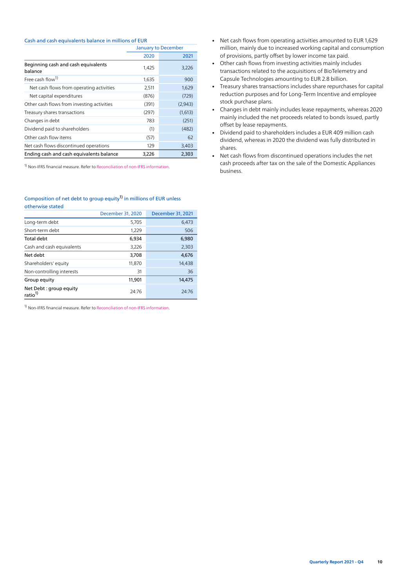#### Cash and cash equivalents balance in millions of EUR

|                                                | January to December |         |
|------------------------------------------------|---------------------|---------|
|                                                | 2020                | 2021    |
| Beginning cash and cash equivalents<br>balance | 1,425               | 3,226   |
| Free cash flow <sup>1)</sup>                   | 1,635               | 900     |
| Net cash flows from operating activities       | 2,511               | 1,629   |
| Net capital expenditures                       | (876)               | (729)   |
| Other cash flows from investing activities     | (391)               | (2,943) |
| Treasury shares transactions                   | (297)               | (1,613) |
| Changes in debt                                | 783                 | (251)   |
| Dividend paid to shareholders                  | (1)                 | (482)   |
| Other cash flow items                          | (57)                | 62      |
| Net cash flows discontinued operations         | 129                 | 3,403   |
| Ending cash and cash equivalents balance       | 3.226               | 2,303   |

<sup>1)</sup> Non-IFRS financial measure. Refer to [Reconciliation of non-IFRS information.](#page-18-0)

#### Composition of net debt to group equity<sup>[1\)](#page-3-1)</sup> in millions of EUR unless otherwise stated

|                                               | December 31, 2020 | December 31, 2021 |
|-----------------------------------------------|-------------------|-------------------|
| Long-term debt                                | 5,705             | 6,473             |
| Short-term debt                               | 1,229             | 506               |
| Total debt                                    | 6,934             | 6,980             |
| Cash and cash equivalents                     | 3,226             | 2,303             |
| Net debt                                      | 3,708             | 4,676             |
| Shareholders' equity                          | 11,870            | 14,438            |
| Non-controlling interests                     | 31                | 36                |
| Group equity                                  | 11,901            | 14,475            |
| Net Debt: group equity<br>ratio <sup>1)</sup> | 24:76             | 24:76             |

- Net cash flows from operating activities amounted to EUR 1,629 million, mainly due to increased working capital and consumption of provisions, partly offset by lower income tax paid.
- Other cash flows from investing activities mainly includes transactions related to the acquisitions of BioTelemetry and Capsule Technologies amounting to EUR 2.8 billion.
- Treasury shares transactions includes share repurchases for capital reduction purposes and for Long-Term Incentive and employee stock purchase plans.
- Changes in debt mainly includes lease repayments, whereas 2020 mainly included the net proceeds related to bonds issued, partly offset by lease repayments.
- Dividend paid to shareholders includes a EUR 409 million cash dividend, whereas in 2020 the dividend was fully distributed in shares.
- Net cash flows from discontinued operations includes the net cash proceeds after tax on the sale of the Domestic Appliances business.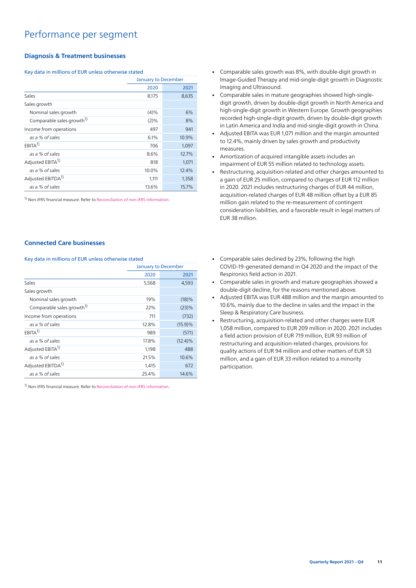## Performance per segment

### **Diagnosis & Treatment businesses**

### Key data in millions of EUR unless otherwise stated

|                                       |              | <b>January to December</b> |  |
|---------------------------------------|--------------|----------------------------|--|
|                                       | 2020<br>2021 |                            |  |
| Sales                                 | 8,175        | 8,635                      |  |
| Sales growth                          |              |                            |  |
| Nominal sales growth                  | $(4)\%$      | 6%                         |  |
| Comparable sales growth <sup>1)</sup> | $(2)\%$      | 8%                         |  |
| Income from operations                | 497          | 941                        |  |
| as a % of sales                       | 6.1%         | 10.9%                      |  |
| $EBITA^{1}$                           | 706          | 1,097                      |  |
| as a % of sales                       | 8.6%         | 12.7%                      |  |
| Adjusted EBITA <sup>1)</sup>          | 818          | 1,071                      |  |
| as a % of sales                       | 10.0%        | 12.4%                      |  |
| Adjusted EBITDA <sup>1)</sup>         | 1,111        | 1,358                      |  |
| as a % of sales                       | 13.6%        | 15.7%                      |  |

<sup>1)</sup> Non-IFRS financial measure. Refer to [Reconciliation of non-IFRS information.](#page-18-0)

#### **Connected Care businesses**

Key data in millions of EUR unless otherwise stated

|                                       |       | January to December |
|---------------------------------------|-------|---------------------|
|                                       | 2020  | 2021                |
| Sales                                 | 5,568 | 4,593               |
| Sales growth                          |       |                     |
| Nominal sales growth                  | 19%   | (18)%               |
| Comparable sales growth <sup>1)</sup> | 22%   | (23)%               |
| Income from operations                | 711   | (732)               |
| as a % of sales                       | 12.8% | $(15.9)\%$          |
| $EBITA^{1}$                           | 989   | (571)               |
| as a % of sales                       | 17.8% | $(12.4)\%$          |
| Adjusted EBITA <sup>1)</sup>          | 1,198 | 488                 |
| as a % of sales                       | 21.5% | 10.6%               |
| Adjusted EBITDA <sup>1)</sup>         | 1,415 | 672                 |
| as a % of sales                       | 25.4% | 14.6%               |

<sup>1)</sup> Non-IFRS financial measure. Refer to [Reconciliation of non-IFRS information.](#page-18-0)

- Comparable sales growth was 8%, with double-digit growth in Image-Guided Therapy and mid-single-digit growth in Diagnostic Imaging and Ultrasound.
- Comparable sales in mature geographies showed high-singledigit growth, driven by double-digit growth in North America and high-single-digit growth in Western Europe. Growth geographies recorded high-single-digit growth, driven by double-digit growth in Latin America and India and mid-single-digit growth in China.
- Adjusted EBITA was EUR 1,071 million and the margin amounted to 12.4%, mainly driven by sales growth and productivity measures.
- Amortization of acquired intangible assets includes an impairment of EUR 55 million related to technology assets.
- Restructuring, acquisition-related and other charges amounted to a gain of EUR 25 million, compared to charges of EUR 112 million in 2020. 2021 includes restructuring charges of EUR 44 million, acquisition-related charges of EUR 48 million offset by a EUR 85 million gain related to the re-measurement of contingent consideration liabilities, and a favorable result in legal matters of EUR 38 million.
- Comparable sales declined by 23%, following the high COVID-19-generated demand in Q4 2020 and the impact of the Respironics field action in 2021.
- Comparable sales in growth and mature geographies showed a double-digit decline, for the reasons mentioned above.
- Adjusted EBITA was EUR 488 million and the margin amounted to 10.6%, mainly due to the decline in sales and the impact in the Sleep & Respiratory Care business.
- Restructuring, acquisition-related and other charges were EUR 1,058 million, compared to EUR 209 million in 2020. 2021 includes a field action provision of EUR 719 million, EUR 93 million of restructuring and acquisition-related charges, provisions for quality actions of EUR 94 million and other matters of EUR 53 million, and a gain of EUR 33 million related to a minority participation.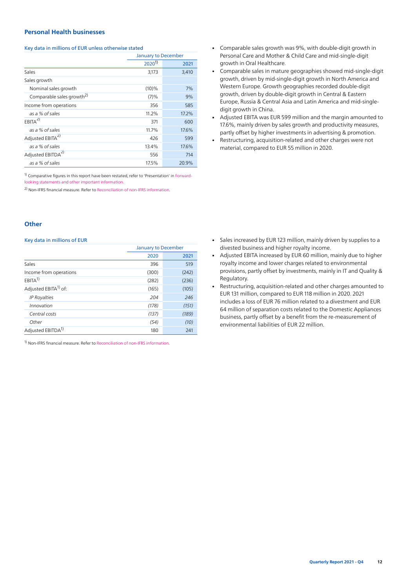### **Personal Health businesses**

#### Key data in millions of EUR unless otherwise stated

|                                       |            | <b>January to December</b> |  |  |  |
|---------------------------------------|------------|----------------------------|--|--|--|
|                                       | $2020^{1}$ | 2021                       |  |  |  |
| Sales                                 | 3,173      | 3,410                      |  |  |  |
| Sales growth                          |            |                            |  |  |  |
| Nominal sales growth                  | $(10)\%$   | 7%                         |  |  |  |
| Comparable sales growth <sup>2)</sup> | (7)%       | 9%                         |  |  |  |
| Income from operations                | 356        | 585                        |  |  |  |
| as a % of sales                       | 11.2%      | 17.2%                      |  |  |  |
| $EBITA^{2)}$                          | 371        | 600                        |  |  |  |
| as a % of sales                       | 11.7%      | 17.6%                      |  |  |  |
| Adjusted EBITA <sup>2)</sup>          | 426        | 599                        |  |  |  |
| as a % of sales                       | 13.4%      | 17.6%                      |  |  |  |
| Adjusted EBITDA <sup>2)</sup>         | 556        | 714                        |  |  |  |
| as a % of sales                       | 17.5%      | 20.9%                      |  |  |  |

<sup>1)</sup> Comparative figures in this report have been restated, refer to 'Presentation' in [Forward](#page-12-0)[looking statements and other important information](#page-12-0).

2) Non-IFRS financial measure. Refer to [Reconciliation of non-IFRS information](#page-18-0).

#### **Other**

#### Key data in millions of EUR

|                                  | January to December |       |  |
|----------------------------------|---------------------|-------|--|
|                                  | 2020                | 2021  |  |
| Sales                            | 396                 | 519   |  |
| Income from operations           | (300)               | (242) |  |
| EBITA <sup>1</sup>               | (282)               | (236) |  |
| Adjusted EBITA <sup>1)</sup> of: | (165)               | (105) |  |
| <b>IP Royalties</b>              | 204                 | 246   |  |
| Innovation                       | (178)               | (151) |  |
| Central costs                    | (137)               | (189) |  |
| Other                            | (54)                | (10)  |  |
| Adjusted EBITDA <sup>1)</sup>    | 180                 | 241   |  |

- Comparable sales growth was 9%, with double-digit growth in Personal Care and Mother & Child Care and mid-single-digit growth in Oral Healthcare.
- Comparable sales in mature geographies showed mid-single-digit growth, driven by mid-single-digit growth in North America and Western Europe. Growth geographies recorded double-digit growth, driven by double-digit growth in Central & Eastern Europe, Russia & Central Asia and Latin America and mid-singledigit growth in China.
- Adjusted EBITA was EUR 599 million and the margin amounted to 17.6%, mainly driven by sales growth and productivity measures, partly offset by higher investments in advertising & promotion.
- Restructuring, acquisition-related and other charges were not material, compared to EUR 55 million in 2020.

- Sales increased by EUR 123 million, mainly driven by supplies to a divested business and higher royalty income.
- Adjusted EBITA increased by EUR 60 million, mainly due to higher royalty income and lower charges related to environmental provisions, partly offset by investments, mainly in IT and Quality & Regulatory.
- Restructuring, acquisition-related and other charges amounted to EUR 131 million, compared to EUR 118 million in 2020. 2021 includes a loss of EUR 76 million related to a divestment and EUR 64 million of separation costs related to the Domestic Appliances business, partly offset by a benefit from the re-measurement of environmental liabilities of EUR 22 million.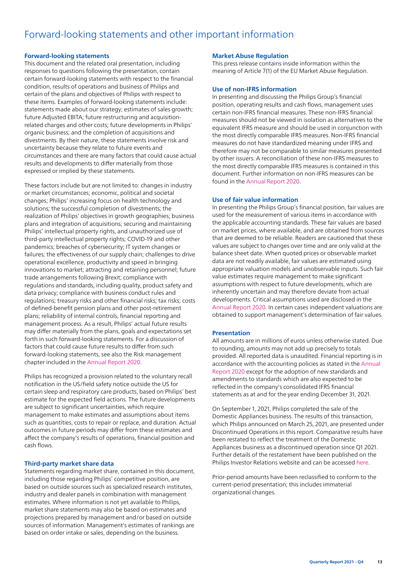# <span id="page-12-0"></span>Forward-looking statements and other important information

### **Forward-looking statements**

This document and the related oral presentation, including responses to questions following the presentation, contain certain forward-looking statements with respect to the financial condition, results of operations and business of Philips and certain of the plans and objectives of Philips with respect to these items. Examples of forward-looking statements include: statements made about our strategy; estimates of sales growth; future Adjusted EBITA; future restructuring and acquisitionrelated charges and other costs; future developments in Philips' organic business; and the completion of acquisitions and divestments. By their nature, these statements involve risk and uncertainty because they relate to future events and circumstances and there are many factors that could cause actual results and developments to differ materially from those expressed or implied by these statements.

These factors include but are not limited to: changes in industry or market circumstances; economic, political and societal changes; Philips' increasing focus on health technology and solutions; the successful completion of divestments; the realization of Philips' objectives in growth geographies; business plans and integration of acquisitions; securing and maintaining Philips' intellectual property rights, and unauthorized use of third-party intellectual property rights; COVID-19 and other pandemics; breaches of cybersecurity; IT system changes or failures; the effectiveness of our supply chain; challenges to drive operational excellence, productivity and speed in bringing innovations to market; attracting and retaining personnel; future trade arrangements following Brexit; compliance with regulations and standards, including quality, product safety and data privacy; compliance with business conduct rules and regulations; treasury risks and other financial risks; tax risks; costs of defined-benefit pension plans and other post-retirement plans; reliability of internal controls, financial reporting and management process. As a result, Philips' actual future results may differ materially from the plans, goals and expectations set forth in such forward-looking statements. For a discussion of factors that could cause future results to differ from such forward-looking statements, see also the Risk management chapter included in the [Annual Report 2020.](https://www.results.philips.com/publications/ar20/downloads/pdf/en/PhilipsFullAnnualReport2020-English.pdf?v=20211204143501)

Philips has recognized a provision related to the voluntary recall notification in the US/field safety notice outside the US for certain sleep and respiratory care products, based on Philips' best estimate for the expected field actions. The future developments are subject to significant uncertainties, which require management to make estimates and assumptions about items such as quantities, costs to repair or replace, and duration. Actual outcomes in future periods may differ from these estimates and affect the company's results of operations, financial position and cash flows.

#### **Third-party market share data**

Statements regarding market share, contained in this document, including those regarding Philips' competitive position, are based on outside sources such as specialized research institutes, industry and dealer panels in combination with management estimates. Where information is not yet available to Philips, market share statements may also be based on estimates and projections prepared by management and/or based on outside sources of information. Management's estimates of rankings are based on order intake or sales, depending on the business.

#### **Market Abuse Regulation**

This press release contains inside information within the meaning of Article 7(1) of the EU Market Abuse Regulation.

#### **Use of non-IFRS information**

In presenting and discussing the Philips Group's financial position, operating results and cash flows, management uses certain non-IFRS financial measures. These non-IFRS financial measures should not be viewed in isolation as alternatives to the equivalent IFRS measure and should be used in conjunction with the most directly comparable IFRS measures. Non-IFRS financial measures do not have standardized meaning under IFRS and therefore may not be comparable to similar measures presented by other issuers. A reconciliation of these non-IFRS measures to the most directly comparable IFRS measures is contained in this document. Further information on non-IFRS measures can be found in the [Annual Report 2020.](https://www.results.philips.com/publications/ar20/downloads/pdf/en/PhilipsFullAnnualReport2020-English.pdf?v=20211204143501)

#### **Use of fair value information**

In presenting the Philips Group's financial position, fair values are used for the measurement of various items in accordance with the applicable accounting standards. These fair values are based on market prices, where available, and are obtained from sources that are deemed to be reliable. Readers are cautioned that these values are subject to changes over time and are only valid at the balance sheet date. When quoted prices or observable market data are not readily available, fair values are estimated using appropriate valuation models and unobservable inputs. Such fair value estimates require management to make significant assumptions with respect to future developments, which are inherently uncertain and may therefore deviate from actual developments. Critical assumptions used are disclosed in the [Annual Report 2020](https://www.results.philips.com/publications/ar20/downloads/pdf/en/PhilipsFullAnnualReport2020-English.pdf?v=20211204143501). In certain cases independent valuations are obtained to support management's determination of fair values.

#### **Presentation**

All amounts are in millions of euros unless otherwise stated. Due to rounding, amounts may not add up precisely to totals provided. All reported data is unaudited. Financial reporting is in accordance with the accounting policies as stated in the [Annual](https://www.results.philips.com/publications/ar20/downloads/pdf/en/PhilipsFullAnnualReport2020-English.pdf?v=20211204143501) [Report 2020](https://www.results.philips.com/publications/ar20/downloads/pdf/en/PhilipsFullAnnualReport2020-English.pdf?v=20211204143501) except for the adoption of new standards and amendments to standards which are also expected to be reflected in the company's consolidated IFRS financial statements as at and for the year ending December 31, 2021.

On September 1, 2021, Philips completed the sale of the Domestic Appliances business. The results of this transaction, which Philips announced on March 25, 2021, are presented under Discontinued Operations in this report. Comparative results have been restated to reflect the treatment of the Domestic Appliances business as a discontinued operation since Q1 2021. Further details of the restatement have been published on the Philips Investor Relations website and can be accessed [here](https://www.philips.com/c-dam/corporate/about-philips/investors/acquisitions/Philips-Restated-financials-excluding-Domestic-Appliances-April-8-2021.pdf).

Prior-period amounts have been reclassified to conform to the current-period presentation; this includes immaterial organizational changes.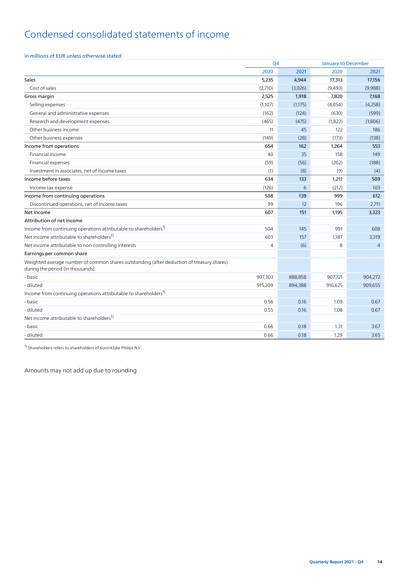# Condensed consolidated statements of income

### in millions of EUR unless otherwise stated

|                                                                                                                                | Q <sub>4</sub> |         |         | <b>January to December</b> |
|--------------------------------------------------------------------------------------------------------------------------------|----------------|---------|---------|----------------------------|
|                                                                                                                                | 2020           | 2021    | 2020    | 2021                       |
| Sales                                                                                                                          | 5,235          | 4,944   | 17,313  | 17,156                     |
| Cost of sales                                                                                                                  | (2,710)        | (3,026) | (9,493) | (9,988)                    |
| Gross margin                                                                                                                   | 2,525          | 1,918   | 7,820   | 7,168                      |
| Selling expenses                                                                                                               | (1,107)        | (1,175) | (4,054) | (4,258)                    |
| General and administrative expenses                                                                                            | (162)          | (124)   | (630)   | (599)                      |
| Research and development expenses                                                                                              | (465)          | (475)   | (1,822) | (1,806)                    |
| Other business income                                                                                                          | 11             | 45      | 122     | 186                        |
| Other business expenses                                                                                                        | (149)          | (28)    | (173)   | (138)                      |
| Income from operations                                                                                                         | 654            | 162     | 1,264   | 553                        |
| Financial income                                                                                                               | 40             | 35      | 158     | 149                        |
| Financial expenses                                                                                                             | (59)           | (56)    | (202)   | (188)                      |
| Investment in associates, net of income taxes                                                                                  | (1)            | (8)     | (9)     | (4)                        |
| Income before taxes                                                                                                            | 634            | 133     | 1,211   | 509                        |
| Income tax expense                                                                                                             | (126)          | 6       | (212)   | 103                        |
| Income from continuing operations                                                                                              | 508            | 139     | 999     | 612                        |
| Discontinued operations, net of income taxes                                                                                   | 99             | 12      | 196     | 2,711                      |
| Net income                                                                                                                     | 607            | 151     | 1,195   | 3,323                      |
| Attribution of net income                                                                                                      |                |         |         |                            |
| Income from continuing operations attributable to shareholders <sup>1)</sup>                                                   | 504            | 145     | 991     | 608                        |
| Net income attributable to shareholders <sup>1)</sup>                                                                          | 603            | 157     | 1,187   | 3,319                      |
| Net income attributable to non-controlling interests                                                                           | $\overline{4}$ | (6)     | 8       | $\Delta$                   |
| Earnings per common share                                                                                                      |                |         |         |                            |
| Weighted average number of common shares outstanding (after deduction of treasury shares)<br>during the period (in thousands): |                |         |         |                            |
| - basic                                                                                                                        | 907,303        | 888,858 | 907,721 | 904,272                    |
| - diluted                                                                                                                      | 915,209        | 894,388 | 916,625 | 909,655                    |
| Income from continuing operations attributable to shareholders <sup>1)</sup>                                                   |                |         |         |                            |
| - basic                                                                                                                        | 0.56           | 0.16    | 1.09    | 0.67                       |
| - diluted                                                                                                                      | 0.55           | 0.16    | 1.08    | 0.67                       |
| Net income attributable to shareholders <sup>1)</sup>                                                                          |                |         |         |                            |
| - basic                                                                                                                        | 0.66           | 0.18    | 1.31    | 3.67                       |
| - diluted                                                                                                                      | 0.66           | 0.18    | 1.29    | 3.65                       |

1) Shareholders refers to shareholders of Koninklijke Philips N.V.

Amounts may not add up due to rounding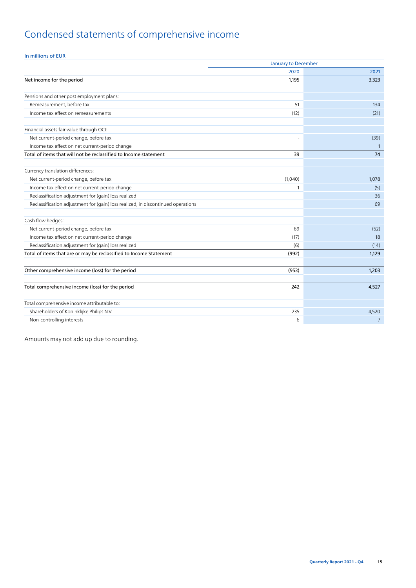# Condensed statements of comprehensive income

### In millions of EUR

|                                                                                  | <b>January to December</b> |                |  |  |  |
|----------------------------------------------------------------------------------|----------------------------|----------------|--|--|--|
|                                                                                  | 2020                       | 2021           |  |  |  |
| Net income for the period                                                        | 1,195                      | 3,323          |  |  |  |
|                                                                                  |                            |                |  |  |  |
| Pensions and other post employment plans:                                        |                            |                |  |  |  |
| Remeasurement, before tax                                                        | 51                         | 134            |  |  |  |
| Income tax effect on remeasurements                                              | (12)                       | (21)           |  |  |  |
| Financial assets fair value through OCI:                                         |                            |                |  |  |  |
| Net current-period change, before tax                                            |                            | (39)           |  |  |  |
| Income tax effect on net current-period change                                   |                            | -1             |  |  |  |
| Total of items that will not be reclassified to Income statement                 | 39                         | 74             |  |  |  |
|                                                                                  |                            |                |  |  |  |
| Currency translation differences:                                                |                            |                |  |  |  |
| Net current-period change, before tax                                            | (1,040)                    | 1,078          |  |  |  |
| Income tax effect on net current-period change                                   | 1                          | (5)            |  |  |  |
| Reclassification adjustment for (gain) loss realized                             |                            | 36             |  |  |  |
| Reclassification adjustment for (gain) loss realized, in discontinued operations |                            | 69             |  |  |  |
| Cash flow hedges:                                                                |                            |                |  |  |  |
| Net current-period change, before tax                                            | 69                         | (52)           |  |  |  |
| Income tax effect on net current-period change                                   | (17)                       | 18             |  |  |  |
| Reclassification adjustment for (gain) loss realized                             | (6)                        | (14)           |  |  |  |
| Total of items that are or may be reclassified to Income Statement               | (992)                      | 1,129          |  |  |  |
|                                                                                  |                            |                |  |  |  |
| Other comprehensive income (loss) for the period                                 | (953)                      | 1,203          |  |  |  |
| Total comprehensive income (loss) for the period                                 | 242                        | 4,527          |  |  |  |
| Total comprehensive income attributable to:                                      |                            |                |  |  |  |
| Shareholders of Koninklijke Philips N.V.                                         | 235                        | 4,520          |  |  |  |
| Non-controlling interests                                                        | 6                          | $\overline{7}$ |  |  |  |

Amounts may not add up due to rounding.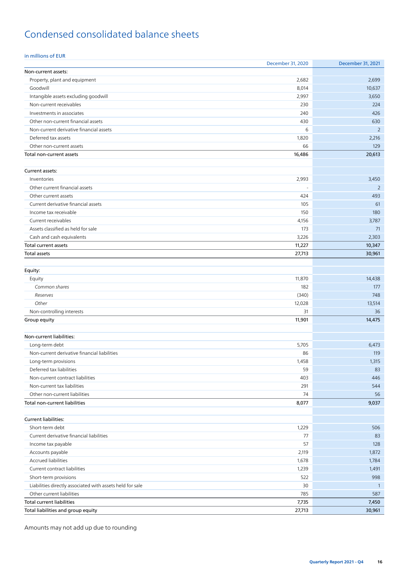# Condensed consolidated balance sheets

### in millions of EUR

|                                                           | December 31, 2020 | December 31, 2021 |
|-----------------------------------------------------------|-------------------|-------------------|
| Non-current assets:                                       |                   |                   |
| Property, plant and equipment                             | 2,682             | 2,699             |
| Goodwill                                                  | 8,014             | 10,637            |
| Intangible assets excluding goodwill                      | 2,997             | 3,650             |
| Non-current receivables                                   | 230               | 224               |
| Investments in associates                                 | 240               | 426               |
| Other non-current financial assets                        | 430               | 630               |
| Non-current derivative financial assets                   | 6                 | $\overline{2}$    |
| Deferred tax assets                                       | 1,820             | 2,216             |
| Other non-current assets                                  | 66                | 129               |
| Total non-current assets                                  | 16,486            | 20,613            |
|                                                           |                   |                   |
| Current assets:                                           |                   |                   |
| Inventories                                               | 2,993             | 3,450             |
| Other current financial assets                            | ä,                | $\overline{2}$    |
| Other current assets                                      | 424               | 493               |
| Current derivative financial assets                       | 105               | 61                |
| Income tax receivable                                     | 150               | 180               |
| Current receivables                                       | 4,156             | 3,787             |
| Assets classified as held for sale                        | 173               | 71                |
| Cash and cash equivalents                                 | 3,226             | 2,303             |
| Total current assets                                      | 11,227            | 10,347            |
| Total assets                                              | 27,713            | 30,961            |
|                                                           |                   |                   |
| Equity:                                                   |                   |                   |
|                                                           | 11,870            | 14,438            |
| Equity                                                    |                   |                   |
| Common shares                                             | 182               | 177               |
| Reserves                                                  | (340)             | 748               |
| Other                                                     | 12,028            | 13,514            |
| Non-controlling interests                                 | 31                | 36                |
| Group equity                                              | 11,901            | 14,475            |
|                                                           |                   |                   |
| Non-current liabilities:                                  |                   |                   |
| Long-term debt                                            | 5,705             | 6,473             |
| Non-current derivative financial liabilities              | 86                | 119               |
| Long-term provisions                                      | 1,458             | 1,315             |
| Deferred tax liabilities                                  | 59                | 83                |
| Non-current contract liabilities                          | 403               | 446               |
| Non-current tax liabilities                               | 291               | 544               |
| Other non-current liabilities                             | 74                | 56                |
| Total non-current liabilities                             | 8,077             | 9,037             |
|                                                           |                   |                   |
| Current liabilities:                                      |                   |                   |
| Short-term debt                                           | 1,229             | 506               |
| Current derivative financial liabilities                  | 77                | 83                |
| Income tax payable                                        | 57                | 128               |
| Accounts payable                                          | 2,119             | 1,872             |
| <b>Accrued liabilities</b>                                | 1,678             | 1,784             |
| Current contract liabilities                              | 1,239             | 1,491             |
| Short-term provisions                                     | 522               | 998               |
| Liabilities directly associated with assets held for sale | 30                | $\overline{1}$    |
| Other current liabilities                                 | 785               | 587               |
| <b>Total current liabilities</b>                          | 7,735             | 7,450             |
| Total liabilities and group equity                        | 27,713            | 30,961            |

Amounts may not add up due to rounding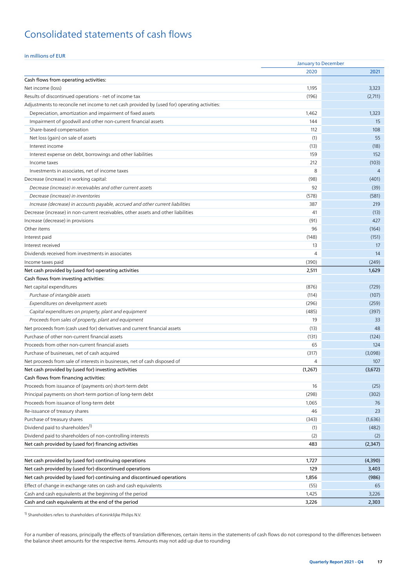# Consolidated statements of cash flows

#### in millions of EUR

|                                                                                              | January to December |                |  |
|----------------------------------------------------------------------------------------------|---------------------|----------------|--|
|                                                                                              | 2020                | 2021           |  |
| Cash flows from operating activities:                                                        |                     |                |  |
| Net income (loss)                                                                            | 1,195               | 3,323          |  |
| Results of discontinued operations - net of income tax                                       | (196)               | (2,711)        |  |
| Adjustments to reconcile net income to net cash provided by (used for) operating activities: |                     |                |  |
| Depreciation, amortization and impairment of fixed assets                                    | 1,462               | 1,323          |  |
| Impairment of goodwill and other non-current financial assets                                | 144                 | 15             |  |
| Share-based compensation                                                                     | 112                 | 108            |  |
| Net loss (gain) on sale of assets                                                            | (1)                 | 55             |  |
| Interest income                                                                              | (13)                | (18)           |  |
| Interest expense on debt, borrowings and other liabilities                                   | 159                 | 152            |  |
| Income taxes                                                                                 | 212                 | (103)          |  |
| Investments in associates, net of income taxes                                               | 8                   | $\overline{4}$ |  |
| Decrease (increase) in working capital:                                                      | (98)                | (401)          |  |
| Decrease (increase) in receivables and other current assets                                  | 92                  | (39)           |  |
| Decrease (increase) in inventories                                                           | (578)               | (581)          |  |
| Increase (decrease) in accounts payable, accrued and other current liabilities               | 387                 | 219            |  |
| Decrease (increase) in non-current receivables, other assets and other liabilities           | 41                  | (13)           |  |
| Increase (decrease) in provisions                                                            | (91)                | 427            |  |
| Other items                                                                                  | 96                  | (164)          |  |
| Interest paid                                                                                | (148)               | (151)          |  |
| Interest received                                                                            | 13                  | 17             |  |
| Dividends received from investments in associates                                            | 4                   | 14             |  |
| Income taxes paid                                                                            | (390)               | (249)          |  |
| Net cash provided by (used for) operating activities                                         | 2,511               | 1,629          |  |
| Cash flows from investing activities:                                                        |                     |                |  |
| Net capital expenditures                                                                     | (876)               | (729)          |  |
| Purchase of intangible assets                                                                | (114)               | (107)          |  |
| Expenditures on development assets                                                           | (296)               | (259)          |  |
| Capital expenditures on property, plant and equipment                                        | (485)               | (397)          |  |
| Proceeds from sales of property, plant and equipment                                         | 19                  | 33             |  |
| Net proceeds from (cash used for) derivatives and current financial assets                   | (13)                | 48             |  |
| Purchase of other non-current financial assets                                               | (131)               | (124)          |  |
| Proceeds from other non-current financial assets                                             | 65                  | 124            |  |
| Purchase of businesses, net of cash acquired                                                 | (317)               | (3,098)        |  |
| Net proceeds from sale of interests in businesses, net of cash disposed of                   | 4                   | 107            |  |
| Net cash provided by (used for) investing activities                                         | (1,267)             | (3,672)        |  |
| Cash flows from financing activities:                                                        |                     |                |  |
| Proceeds from issuance of (payments on) short-term debt                                      | 16                  | (25)           |  |
| Principal payments on short-term portion of long-term debt                                   | (298)               | (302)          |  |
| Proceeds from issuance of long-term debt                                                     | 1,065               | 76             |  |
| Re-issuance of treasury shares                                                               | 46                  | 23             |  |
| Purchase of treasury shares                                                                  | (343)               | (1,636)        |  |
| Dividend paid to shareholders <sup>1)</sup>                                                  | (1)                 | (482)          |  |
| Dividend paid to shareholders of non-controlling interests                                   | (2)                 | (2)            |  |
| Net cash provided by (used for) financing activities                                         | 483                 | (2,347)        |  |
|                                                                                              |                     |                |  |
| Net cash provided by (used for) continuing operations                                        | 1,727               | (4,390)        |  |
| Net cash provided by (used for) discontinued operations                                      | 129                 | 3,403          |  |
| Net cash provided by (used for) continuing and discontinued operations                       | 1,856               | (986)          |  |
| Effect of change in exchange rates on cash and cash equivalents                              | (55)                | 65             |  |
| Cash and cash equivalents at the beginning of the period                                     | 1,425               | 3,226          |  |
| Cash and cash equivalents at the end of the period                                           | 3,226               | 2,303          |  |

1) Shareholders refers to shareholders of Koninklijke Philips N.V.

For a number of reasons, principally the effects of translation differences, certain items in the statements of cash flows do not correspond to the differences between the balance sheet amounts for the respective items. Amounts may not add up due to rounding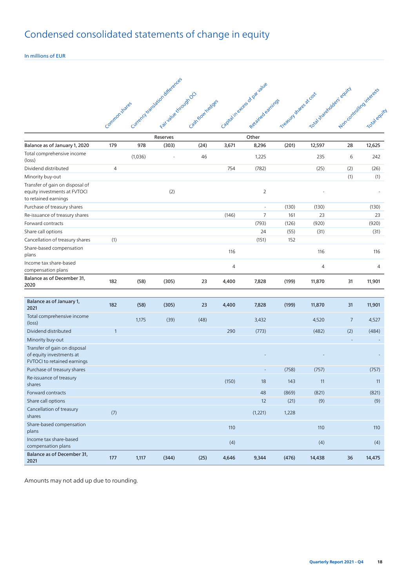# Condensed consolidated statements of change in equity

In millions of EUR

|                                                                                         |                |         | Currency transjacon differences |                   |       |                           |                         |                           |                           |              |
|-----------------------------------------------------------------------------------------|----------------|---------|---------------------------------|-------------------|-------|---------------------------|-------------------------|---------------------------|---------------------------|--------------|
|                                                                                         |                |         |                                 |                   |       | Capitalinetes-of parvalue |                         | Toda state objects equits |                           |              |
|                                                                                         |                |         | Foir value strough OC           |                   |       |                           | Treasury stages at cost |                           | Non-controlling interests |              |
|                                                                                         |                |         |                                 |                   |       |                           |                         |                           |                           |              |
|                                                                                         | Common States  |         |                                 | Castriflow hedges |       | Redained earnings         |                         |                           |                           | Total equipl |
|                                                                                         |                |         |                                 |                   |       |                           |                         |                           |                           |              |
|                                                                                         |                |         | Reserves                        |                   |       | Other                     |                         |                           |                           |              |
| Balance as of January 1, 2020                                                           | 179            | 978     | (303)                           | (24)              | 3,671 | 8,296                     | (201)                   | 12,597                    | 28                        | 12,625       |
| Total comprehensive income<br>(loss)                                                    |                | (1,036) |                                 | 46                |       | 1,225                     |                         | 235                       | 6                         | 242          |
| Dividend distributed                                                                    | $\overline{4}$ |         |                                 |                   | 754   | (782)                     |                         | (25)                      | (2)                       | (26)         |
| Minority buy-out                                                                        |                |         |                                 |                   |       |                           |                         |                           | (1)                       | (1)          |
| Transfer of gain on disposal of<br>equity investments at FVTOCI<br>to retained earnings |                |         | (2)                             |                   |       | $\overline{2}$            |                         |                           |                           |              |
| Purchase of treasury shares                                                             |                |         |                                 |                   |       | ä,                        | (130)                   | (130)                     |                           | (130)        |
| Re-issuance of treasury shares                                                          |                |         |                                 |                   | (146) | $\overline{7}$            | 161                     | 23                        |                           | 23           |
| Forward contracts                                                                       |                |         |                                 |                   |       | (793)                     | (126)                   | (920)                     |                           | (920)        |
| Share call options                                                                      |                |         |                                 |                   |       | 24                        | (55)                    | (31)                      |                           | (31)         |
| Cancellation of treasury shares                                                         | (1)            |         |                                 |                   |       | (151)                     | 152                     |                           |                           |              |
| Share-based compensation<br>plans                                                       |                |         |                                 |                   | 116   |                           |                         | 116                       |                           | 116          |
| Income tax share-based<br>compensation plans                                            |                |         |                                 |                   | 4     |                           |                         | 4                         |                           | 4            |
| Balance as of December 31,<br>2020                                                      | 182            | (58)    | (305)                           | 23                | 4,400 | 7,828                     | (199)                   | 11,870                    | 31                        | 11,901       |
|                                                                                         |                |         |                                 |                   |       |                           |                         |                           |                           |              |
| Balance as of January 1,<br>2021                                                        | 182            | (58)    | (305)                           | 23                | 4,400 | 7,828                     | (199)                   | 11,870                    | 31                        | 11,901       |
| Total comprehensive income<br>$(\text{loss})$                                           |                | 1,175   | (39)                            | (48)              |       | 3,432                     |                         | 4,520                     | $\overline{7}$            | 4,527        |
| Dividend distributed                                                                    | $\mathbf{1}$   |         |                                 |                   | 290   | (773)                     |                         | (482)                     | (2)                       | (484)        |
| Minority buy-out                                                                        |                |         |                                 |                   |       |                           |                         |                           |                           |              |
| Transfer of gain on disposal<br>of equity investments at<br>FVTOCI to retained earnings |                |         |                                 |                   |       |                           |                         |                           |                           |              |
| Purchase of treasury shares                                                             |                |         |                                 |                   |       |                           | (758)                   | (757)                     |                           | (757)        |
| Re-issuance of treasury<br>shares                                                       |                |         |                                 |                   | (150) | 18                        | 143                     | 11                        |                           | 11           |
| Forward contracts                                                                       |                |         |                                 |                   |       | 48                        | (869)                   | (821)                     |                           | (821)        |
| Share call options                                                                      |                |         |                                 |                   |       | 12                        | (21)                    | (9)                       |                           | (9)          |
| Cancellation of treasury<br>shares                                                      | (7)            |         |                                 |                   |       | (1,221)                   | 1,228                   |                           |                           |              |
| Share-based compensation<br>plans                                                       |                |         |                                 |                   | 110   |                           |                         | 110                       |                           | 110          |
| Income tax share-based                                                                  |                |         |                                 |                   | (4)   |                           |                         | (4)                       |                           | (4)          |
| compensation plans                                                                      |                |         |                                 |                   |       |                           |                         |                           |                           |              |
| Balance as of December 31,<br>2021                                                      | 177            | 1,117   | (344)                           | (25)              | 4,646 | 9,344                     | (476)                   | 14,438                    | 36                        | 14,475       |

Amounts may not add up due to rounding.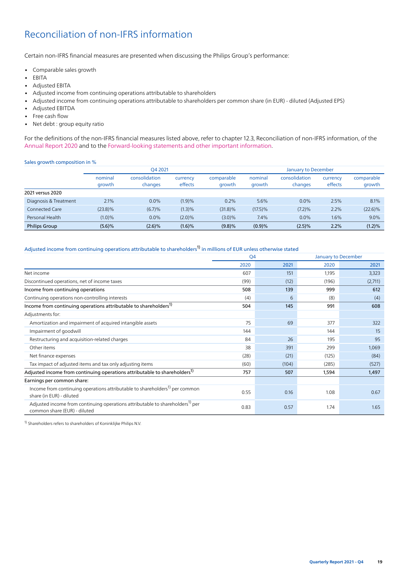# <span id="page-18-0"></span>Reconciliation of non-IFRS information

Certain non-IFRS financial measures are presented when discussing the Philips Group's performance:

- Comparable sales growth
- EBITA
- Adjusted EBITA
- Adjusted income from continuing operations attributable to shareholders
- Adjusted income from continuing operations attributable to shareholders per common share (in EUR) diluted (Adjusted EPS)
- Adjusted EBITDA
- Free cash flow
- Net debt : group equity ratio

For the definitions of the non-IFRS financial measures listed above, refer to chapter 12.3, Reconciliation of non-IFRS information, of the [Annual Report 2020](https://www.results.philips.com/publications/ar20/downloads/pdf/en/PhilipsFullAnnualReport2020-English.pdf?v=20211204143501) and to the [Forward-looking statements and other important information.](#page-12-0)

#### Sales growth composition in %

|                       | O4 2021    |               |                     |            |            | January to December |                     |            |
|-----------------------|------------|---------------|---------------------|------------|------------|---------------------|---------------------|------------|
|                       | nominal    | consolidation | currency<br>effects | comparable | nominal    | consolidation       | currency<br>effects | comparable |
|                       | growth     | changes       |                     | growth     | growth     | changes             |                     | growth     |
| 2021 versus 2020      |            |               |                     |            |            |                     |                     |            |
| Diagnosis & Treatment | 2.1%       | $0.0\%$       | (1.9)%              | 0.2%       | 5.6%       | $0.0\%$             | 2.5%                | 8.1%       |
| Connected Care        | $(23.8)\%$ | (6.7)%        | (1.3)%              | $(31.8)\%$ | $(17.5)\%$ | (7.2)%              | 2.2%                | $(22.6)\%$ |
| Personal Health       | (1.0)%     | $0.0\%$       | $(2.0)\%$           | $(3.0)\%$  | 7.4%       | 0.0%                | $1.6\%$             | 9.0%       |
| <b>Philips Group</b>  | (5.6)%     | $(2.6)\%$     | (1.6)%              | (9.8)%     | (0.9)%     | $(2.5)\%$           | 2.2%                | $(1.2)\%$  |

#### Adjusted income from continuing operations attributable to shareholders<sup>[1\)](#page-3-3)</sup> in millions of EUR unless otherwise stated

|                                                                                                                           | Q4<br>January to December |       |       |         |
|---------------------------------------------------------------------------------------------------------------------------|---------------------------|-------|-------|---------|
|                                                                                                                           | 2020                      | 2021  | 2020  | 2021    |
| Net income                                                                                                                | 607                       | 151   | 1,195 | 3,323   |
| Discontinued operations, net of income taxes                                                                              | (99)                      | (12)  | (196) | (2,711) |
| Income from continuing operations                                                                                         | 508                       | 139   | 999   | 612     |
| Continuing operations non-controlling interests                                                                           | (4)                       | 6     | (8)   | (4)     |
| Income from continuing operations attributable to shareholders <sup>1)</sup>                                              | 504                       | 145   | 991   | 608     |
| Adjustments for:                                                                                                          |                           |       |       |         |
| Amortization and impairment of acquired intangible assets                                                                 | 75                        | 69    | 377   | 322     |
| Impairment of goodwill                                                                                                    | 144                       |       | 144   | 15      |
| Restructuring and acquisition-related charges                                                                             | 84                        | 26    | 195   | 95      |
| Other items                                                                                                               | 38                        | 391   | 299   | 1,069   |
| Net finance expenses                                                                                                      | (28)                      | (21)  | (125) | (84)    |
| Tax impact of adjusted items and tax only adjusting items                                                                 | (60)                      | (104) | (285) | (527)   |
| Adjusted income from continuing operations attributable to shareholders <sup>1)</sup>                                     | 757                       | 507   | 1,594 | 1,497   |
| Earnings per common share:                                                                                                |                           |       |       |         |
| Income from continuing operations attributable to shareholders <sup>1)</sup> per common<br>share (in EUR) - diluted       | 0.55                      | 0.16  | 1.08  | 0.67    |
| Adjusted income from continuing operations attributable to shareholders <sup>1)</sup> per<br>common share (EUR) - diluted | 0.83                      | 0.57  | 1.74  | 1.65    |

1) Shareholders refers to shareholders of Koninklijke Philips N.V.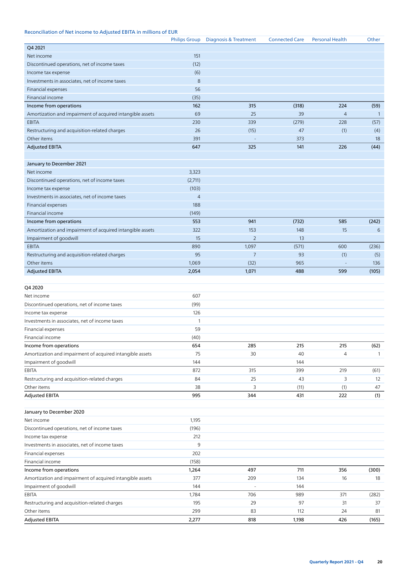#### Reconciliation of Net income to Adjusted EBITA in millions of EUR

|                                                              | <b>Philips Group</b> | Diagnosis & Treatment | <b>Connected Care</b> | <b>Personal Health</b> | Other           |
|--------------------------------------------------------------|----------------------|-----------------------|-----------------------|------------------------|-----------------|
| Q4 2021                                                      |                      |                       |                       |                        |                 |
| Net income                                                   | 151                  |                       |                       |                        |                 |
| Discontinued operations, net of income taxes                 | (12)                 |                       |                       |                        |                 |
| Income tax expense                                           | (6)                  |                       |                       |                        |                 |
| Investments in associates, net of income taxes               | 8                    |                       |                       |                        |                 |
| Financial expenses                                           | 56                   |                       |                       |                        |                 |
| Financial income                                             | (35)                 |                       |                       |                        |                 |
| Income from operations                                       | 162                  | 315                   | (318)                 | 224                    | (59)            |
| Amortization and impairment of acquired intangible assets    | 69                   | 25                    | 39                    | $\overline{4}$         | $\overline{1}$  |
| <b>EBITA</b>                                                 | 230                  | 339                   | (279)                 | 228                    | (57)            |
| Restructuring and acquisition-related charges                | 26                   | (15)                  | 47                    | (1)                    | (4)             |
| Other items                                                  | 391                  |                       | 373                   |                        | 18              |
| <b>Adjusted EBITA</b>                                        | 647                  | 325                   | 141                   | 226                    | (44)            |
|                                                              |                      |                       |                       |                        |                 |
| January to December 2021                                     |                      |                       |                       |                        |                 |
| Net income                                                   | 3,323                |                       |                       |                        |                 |
| Discontinued operations, net of income taxes                 | (2,711)              |                       |                       |                        |                 |
| Income tax expense                                           | (103)                |                       |                       |                        |                 |
| Investments in associates, net of income taxes               | $\overline{4}$       |                       |                       |                        |                 |
| Financial expenses                                           | 188                  |                       |                       |                        |                 |
| Financial income                                             | (149)                |                       |                       |                        |                 |
| Income from operations                                       | 553                  | 941                   | (732)                 | 585                    | (242)           |
| Amortization and impairment of acquired intangible assets    | 322                  | 153                   | 148                   | 15                     | $6\phantom{1}6$ |
| Impairment of goodwill                                       | 15                   | $\overline{2}$        | 13                    |                        |                 |
| <b>EBITA</b>                                                 | 890                  | 1,097                 | (571)                 | 600                    | (236)           |
|                                                              | 95                   | $\overline{7}$        | 93                    |                        |                 |
| Restructuring and acquisition-related charges<br>Other items |                      |                       | 965                   | (1)                    | (5)<br>136      |
|                                                              | 1,069                | (32)                  |                       |                        |                 |
| <b>Adjusted EBITA</b>                                        | 2,054                | 1,071                 | 488                   | 599                    | (105)           |
| Q4 2020                                                      |                      |                       |                       |                        |                 |
| Net income                                                   | 607                  |                       |                       |                        |                 |
| Discontinued operations, net of income taxes                 | (99)                 |                       |                       |                        |                 |
| Income tax expense                                           | 126                  |                       |                       |                        |                 |
| Investments in associates, net of income taxes               | 1                    |                       |                       |                        |                 |
| Financial expenses                                           | 59                   |                       |                       |                        |                 |
| Financial income                                             | (40)                 |                       |                       |                        |                 |
| Income from operations                                       | 654                  | 285                   | 215                   | 215                    | (62)            |
| Amortization and impairment of acquired intangible assets    | 75                   | 30                    | 40                    | $\overline{4}$         | $\mathbf{1}$    |
| Impairment of goodwill                                       | 144                  |                       | 144                   |                        |                 |
|                                                              |                      |                       |                       |                        |                 |
| EBITA                                                        | 872                  | 315                   | 399                   | 219                    | (61)            |
| Restructuring and acquisition-related charges                | 84                   | 25                    | 43                    | 3                      | 12              |
| Other items                                                  | 38                   | 3                     | (11)                  | (1)                    | 47              |
| <b>Adjusted EBITA</b>                                        | 995                  | 344                   | 431                   | 222                    | (1)             |
|                                                              |                      |                       |                       |                        |                 |
| January to December 2020                                     |                      |                       |                       |                        |                 |
| Net income                                                   | 1,195                |                       |                       |                        |                 |
| Discontinued operations, net of income taxes                 | (196)                |                       |                       |                        |                 |
| Income tax expense                                           | 212                  |                       |                       |                        |                 |
| Investments in associates, net of income taxes               | 9                    |                       |                       |                        |                 |
| Financial expenses                                           | 202                  |                       |                       |                        |                 |
| Financial income                                             | (158)                |                       |                       |                        |                 |
| Income from operations                                       | 1,264                | 497                   | 711                   | 356                    | (300)           |
| Amortization and impairment of acquired intangible assets    | 377                  | 209                   | 134                   | 16                     | 18              |
| Impairment of goodwill                                       | 144                  |                       | 144                   |                        |                 |
| EBITA                                                        | 1,784                | 706                   | 989                   | 371                    | (282)           |
| Restructuring and acquisition-related charges                | 195                  | 29                    | 97                    | 31                     | 37              |
| Other items                                                  | 299                  | 83                    | 112                   | 24                     | 81              |
| <b>Adjusted EBITA</b>                                        | 2,277                | 818                   | 1,198                 | 426                    | (165)           |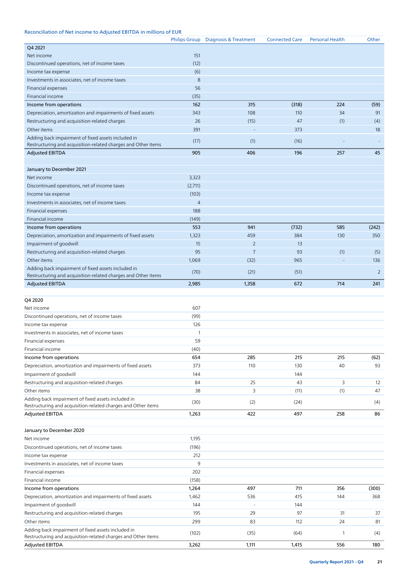### Reconciliation of Net income to Adjusted EBITDA in millions of EUR

|                                                                                                                     |                | Philips Group Diagnosis & Treatment | <b>Connected Care</b> | <b>Personal Health</b> | Other |
|---------------------------------------------------------------------------------------------------------------------|----------------|-------------------------------------|-----------------------|------------------------|-------|
| Q4 2021                                                                                                             |                |                                     |                       |                        |       |
| Net income                                                                                                          | 151            |                                     |                       |                        |       |
| Discontinued operations, net of income taxes                                                                        | (12)           |                                     |                       |                        |       |
| Income tax expense                                                                                                  | (6)            |                                     |                       |                        |       |
| Investments in associates, net of income taxes                                                                      | 8              |                                     |                       |                        |       |
| Financial expenses                                                                                                  | 56             |                                     |                       |                        |       |
| Financial income                                                                                                    | (35)           |                                     |                       |                        |       |
| Income from operations                                                                                              | 162            | 315                                 | (318)                 | 224                    | (59)  |
| Depreciation, amortization and impairments of fixed assets                                                          | 343            | 108                                 | 110                   | 34                     | 91    |
| Restructuring and acquisition-related charges                                                                       | 26             | (15)                                | 47                    | (1)                    | (4)   |
| Other items                                                                                                         | 391            |                                     | 373                   |                        | 18    |
| Adding back impairment of fixed assets included in                                                                  | (17)           | (1)                                 | (16)                  |                        |       |
| Restructuring and acquisition-related charges and Other items                                                       |                |                                     |                       |                        |       |
| <b>Adjusted EBITDA</b>                                                                                              | 905            | 406                                 | 196                   | 257                    | 45    |
|                                                                                                                     |                |                                     |                       |                        |       |
| January to December 2021                                                                                            |                |                                     |                       |                        |       |
| Net income                                                                                                          | 3,323          |                                     |                       |                        |       |
| Discontinued operations, net of income taxes                                                                        | (2,711)        |                                     |                       |                        |       |
| Income tax expense                                                                                                  | (103)          |                                     |                       |                        |       |
| Investments in associates, net of income taxes                                                                      | $\overline{4}$ |                                     |                       |                        |       |
| Financial expenses                                                                                                  | 188            |                                     |                       |                        |       |
| Financial income                                                                                                    | (149)          |                                     |                       |                        |       |
| Income from operations                                                                                              | 553            | 941                                 | (732)                 | 585                    | (242) |
| Depreciation, amortization and impairments of fixed assets                                                          | 1,323          | 459                                 | 384                   | 130                    | 350   |
| Impairment of goodwill                                                                                              | 15             | $\overline{2}$                      | 13                    |                        |       |
| Restructuring and acquisition-related charges                                                                       | 95             | $\overline{7}$                      | 93                    | (1)                    | (5)   |
| Other items                                                                                                         | 1,069          | (32)                                | 965                   |                        | 136   |
| Adding back impairment of fixed assets included in                                                                  | (70)           | (21)                                | (51)                  |                        | 2     |
| Restructuring and acquisition-related charges and Other items                                                       |                |                                     |                       |                        |       |
| <b>Adjusted EBITDA</b>                                                                                              | 2,985          | 1,358                               | 672                   | 714                    | 241   |
|                                                                                                                     |                |                                     |                       |                        |       |
| Q4 2020                                                                                                             |                |                                     |                       |                        |       |
| Net income                                                                                                          | 607            |                                     |                       |                        |       |
| Discontinued operations, net of income taxes                                                                        | (99)           |                                     |                       |                        |       |
| Income tax expense                                                                                                  | 126            |                                     |                       |                        |       |
| Investments in associates, net of income taxes                                                                      | $\mathbf{1}$   |                                     |                       |                        |       |
| Financial expenses                                                                                                  | 59             |                                     |                       |                        |       |
| Financial income                                                                                                    | (40)           |                                     |                       |                        |       |
| Income from operations                                                                                              | 654            | 285                                 | 215                   | 215                    | (62)  |
| Depreciation, amortization and impairments of fixed assets                                                          | 373            | 110                                 | 130                   | 40                     | 93    |
| Impairment of goodwill                                                                                              | 144            |                                     | 144                   |                        |       |
| Restructuring and acquisition-related charges                                                                       | 84             | 25                                  | 43                    | 3                      | 12    |
| Other items                                                                                                         | 38             | 3                                   | (11)                  | (1)                    | 47    |
| Adding back impairment of fixed assets included in                                                                  | (30)           | (2)                                 | (24)                  |                        | (4)   |
| Restructuring and acquisition-related charges and Other items                                                       |                |                                     |                       |                        |       |
| Adjusted EBITDA                                                                                                     | 1,263          | 422                                 | 497                   | 258                    | 86    |
|                                                                                                                     |                |                                     |                       |                        |       |
| January to December 2020                                                                                            |                |                                     |                       |                        |       |
| Net income                                                                                                          | 1,195          |                                     |                       |                        |       |
| Discontinued operations, net of income taxes                                                                        | (196)          |                                     |                       |                        |       |
| Income tax expense                                                                                                  | 212            |                                     |                       |                        |       |
| Investments in associates, net of income taxes                                                                      | 9              |                                     |                       |                        |       |
| Financial expenses                                                                                                  | 202            |                                     |                       |                        |       |
| Financial income                                                                                                    | (158)          |                                     |                       |                        |       |
| Income from operations                                                                                              | 1,264          | 497                                 | 711                   | 356                    | (300) |
| Depreciation, amortization and impairments of fixed assets                                                          | 1,462          | 536                                 | 415                   | 144                    | 368   |
| Impairment of goodwill                                                                                              | 144            |                                     | 144                   |                        |       |
| Restructuring and acquisition-related charges                                                                       | 195            | 29                                  | 97                    | 31                     | 37    |
| Other items                                                                                                         | 299            | 83                                  | 112                   | 24                     | 81    |
| Adding back impairment of fixed assets included in<br>Restructuring and acquisition-related charges and Other items | (102)          | (35)                                | (64)                  | 1                      | (4)   |
| <b>Adjusted EBITDA</b>                                                                                              | 3,262          | 1,111                               | 1,415                 | 556                    | 180   |
|                                                                                                                     |                |                                     |                       |                        |       |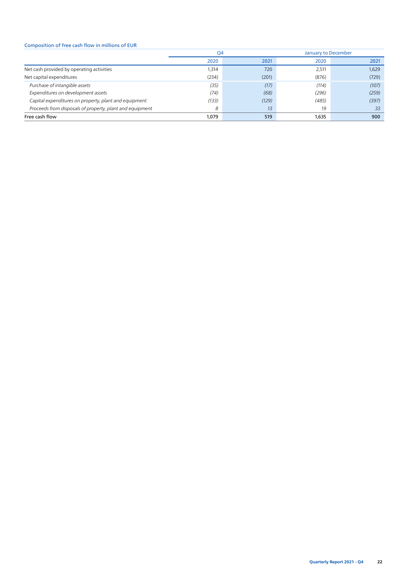#### Composition of free cash flow in millions of EUR

|                                                          | Q4    |       | <b>January to December</b> |       |  |
|----------------------------------------------------------|-------|-------|----------------------------|-------|--|
|                                                          | 2020  | 2021  | 2020                       | 2021  |  |
| Net cash provided by operating activities                | 1,314 | 720   | 2,511                      | 1,629 |  |
| Net capital expenditures                                 | (234) | (201) | (876)                      | (729) |  |
| Purchase of intangible assets                            | (35)  | (17)  | (114)                      | (107) |  |
| Expenditures on development assets                       | (74)  | (68)  | (296)                      | (259) |  |
| Capital expenditures on property, plant and equipment    | (133) | (129) | (485)                      | (397) |  |
| Proceeds from disposals of property, plant and equipment | 8     | 13    | 19                         | 33    |  |
| Free cash flow                                           | 1,079 | 519   | 1,635                      | 900   |  |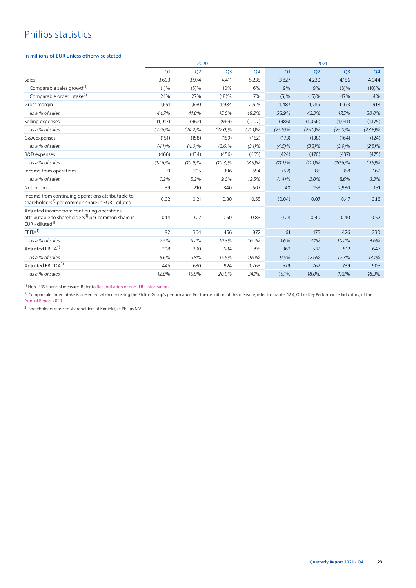# Philips statistics

#### in millions of EUR unless otherwise stated

|                                                                                                                                             | 2020       |                |                |            | 2021       |                |                |            |
|---------------------------------------------------------------------------------------------------------------------------------------------|------------|----------------|----------------|------------|------------|----------------|----------------|------------|
|                                                                                                                                             | Q1         | Q <sub>2</sub> | Q <sub>3</sub> | Q4         | Q1         | Q <sub>2</sub> | Q <sub>3</sub> | Q4         |
| Sales                                                                                                                                       | 3,693      | 3,974          | 4,411          | 5,235      | 3,827      | 4,230          | 4,156          | 4,944      |
| Comparable sales growth <sup>1)</sup>                                                                                                       | (1)%       | (5)%           | 10%            | 6%         | 9%         | 9%             | $(8)\%$        | $(10)\%$   |
| Comparable order intake <sup>2)</sup>                                                                                                       | 24%        | 27%            | (18)%          | 7%         | $(5)\%$    | (15)%          | 47%            | 4%         |
| Gross margin                                                                                                                                | 1,651      | 1,660          | 1,984          | 2,525      | 1,487      | 1,789          | 1,973          | 1,918      |
| as a % of sales                                                                                                                             | 44.7%      | 41.8%          | 45.0%          | 48.2%      | 38.9%      | 42.3%          | 47.5%          | 38.8%      |
| Selling expenses                                                                                                                            | (1,017)    | (962)          | (969)          | (1,107)    | (986)      | (1,056)        | (1,041)        | (1,175)    |
| as a % of sales                                                                                                                             | $(27.5)\%$ | $(24.2)\%$     | $(22.0)\%$     | $(21.1)\%$ | $(25.8)\%$ | $(25.0)\%$     | $(25.0)\%$     | $(23.8)\%$ |
| G&A expenses                                                                                                                                | (151)      | (158)          | (159)          | (162)      | (173)      | (138)          | (164)          | (124)      |
| as a % of sales                                                                                                                             | $(4.1)\%$  | $(4.0)\%$      | $(3.6)\%$      | $(3.1)\%$  | $(4.5)\%$  | $(3.3)\%$      | (3.9)%         | $(2.5)\%$  |
| R&D expenses                                                                                                                                | (466)      | (434)          | (456)          | (465)      | (424)      | (470)          | (437)          | (475)      |
| as a % of sales                                                                                                                             | $(12.6)\%$ | $(10.9)\%$     | $(10.3)\%$     | (8.9)%     | $(11.1)\%$ | $(11.1)\%$     | $(10.5)\%$     | (9.6)%     |
| Income from operations                                                                                                                      | 9          | 205            | 396            | 654        | (52)       | 85             | 358            | 162        |
| as a % of sales                                                                                                                             | 0.2%       | 5.2%           | 9.0%           | 12.5%      | $(1.4)\%$  | 2.0%           | 8.6%           | 3.3%       |
| Net income                                                                                                                                  | 39         | 210            | 340            | 607        | 40         | 153            | 2,980          | 151        |
| Income from continuing operations attributable to<br>shareholders <sup>3)</sup> per common share in EUR - diluted                           | 0.02       | 0.21           | 0.30           | 0.55       | (0.04)     | 0.07           | 0.47           | 0.16       |
| Adjusted income from continuing operations<br>attributable to shareholders <sup>3)</sup> per common share in<br>EUR - diluted <sup>1)</sup> | 0.14       | 0.27           | 0.50           | 0.83       | 0.28       | 0.40           | 0.40           | 0.57       |
| $EBITA^{1}$                                                                                                                                 | 92         | 364            | 456            | 872        | 61         | 173            | 426            | 230        |
| as a % of sales                                                                                                                             | 2.5%       | 9.2%           | 10.3%          | 16.7%      | 1.6%       | 4.1%           | 10.2%          | 4.6%       |
| Adiusted EBITA <sup>1)</sup>                                                                                                                | 208        | 390            | 684            | 995        | 362        | 532            | 512            | 647        |
| as a % of sales                                                                                                                             | 5.6%       | 9.8%           | 15.5%          | 19.0%      | 9.5%       | 12.6%          | 12.3%          | 13.1%      |
| Adjusted EBITDA <sup>1)</sup>                                                                                                               | 445        | 630            | 924            | 1,263      | 579        | 762            | 739            | 905        |
| as a % of sales                                                                                                                             | 12.0%      | 15.9%          | 20.9%          | 24.1%      | 15.1%      | 18.0%          | 17.8%          | 18.3%      |

1) Non-IFRS financial measure. Refer to [Reconciliation of non-IFRS information.](#page-18-0)

<sup>2)</sup> Comparable order intake is presented when discussing the Philips Group's performance. For the definition of this measure, refer to chapter 12.4, Other Key Performance Indicators, of the [Annual Report 2020.](https://www.results.philips.com/publications/ar20/downloads/pdf/en/PhilipsFullAnnualReport2020-English.pdf?v=20211204143501)

<sup>3)</sup> Shareholders refers to shareholders of Koninklijke Philips N.V.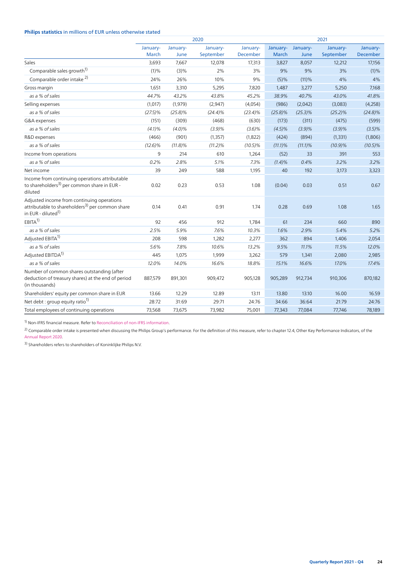### **Philips statistics** in millions of EUR unless otherwise stated

|                                                                                                                                             | 2020              |                  |                       |                      | 2021              |                  |                       |                      |
|---------------------------------------------------------------------------------------------------------------------------------------------|-------------------|------------------|-----------------------|----------------------|-------------------|------------------|-----------------------|----------------------|
|                                                                                                                                             | January-<br>March | January-<br>June | January-<br>September | January-<br>December | January-<br>March | January-<br>June | January-<br>September | January-<br>December |
| Sales                                                                                                                                       | 3,693             | 7,667            | 12,078                | 17,313               | 3,827             | 8,057            | 12,212                | 17,156               |
| Comparable sales growth <sup>1)</sup>                                                                                                       | (1)%              | (3)%             | 2%                    | 3%                   | 9%                | 9%               | 3%                    | (1)%                 |
| Comparable order intake <sup>2)</sup>                                                                                                       | 24%               | 26%              | 10%                   | 9%                   | (5)%              | (11)%            | 4%                    | 4%                   |
| Gross margin                                                                                                                                | 1,651             | 3,310            | 5,295                 | 7,820                | 1,487             | 3,277            | 5,250                 | 7,168                |
| as a % of sales                                                                                                                             | 44.7%             | 43.2%            | 43.8%                 | 45.2%                | 38.9%             | 40.7%            | 43.0%                 | 41.8%                |
| Selling expenses                                                                                                                            | (1,017)           | (1,979)          | (2,947)               | (4,054)              | (986)             | (2,042)          | (3,083)               | (4,258)              |
| as a % of sales                                                                                                                             | $(27.5)\%$        | $(25.8)\%$       | $(24.4)\%$            | $(23.4)\%$           | $(25.8)\%$        | $(25.3)\%$       | (25.2)%               | $(24.8)\%$           |
| G&A expenses                                                                                                                                | (151)             | (309)            | (468)                 | (630)                | (173)             | (311)            | (475)                 | (599)                |
| as a % of sales                                                                                                                             | (4.1)%            | $(4.0)\%$        | (3.9)%                | $(3.6)\%$            | $(4.5)\%$         | (3.9)%           | (3.9)%                | $(3.5)\%$            |
| R&D expenses                                                                                                                                | (466)             | (901)            | (1, 357)              | (1,822)              | (424)             | (894)            | (1, 331)              | (1,806)              |
| as a % of sales                                                                                                                             | $(12.6)\%$        | (11.8)%          | $(11.2)\%$            | $(10.5)\%$           | (11.1)%           | (11.1)%          | $(10.9)\%$            | $(10.5)\%$           |
| Income from operations                                                                                                                      | 9                 | 214              | 610                   | 1,264                | (52)              | 33               | 391                   | 553                  |
| as a % of sales                                                                                                                             | 0.2%              | 2.8%             | 5.1%                  | 7.3%                 | $(1.4)\%$         | 0.4%             | 3.2%                  | 3.2%                 |
| Net income                                                                                                                                  | 39                | 249              | 588                   | 1,195                | 40                | 192              | 3,173                 | 3,323                |
| Income from continuing operations attributable<br>to shareholders <sup>3)</sup> per common share in EUR -<br>diluted                        | 0.02              | 0.23             | 0.53                  | 1.08                 | (0.04)            | 0.03             | 0.51                  | 0.67                 |
| Adjusted income from continuing operations<br>attributable to shareholders <sup>3)</sup> per common share<br>in EUR - diluted <sup>1)</sup> | 0.14              | 0.41             | 0.91                  | 1.74                 | 0.28              | 0.69             | 1.08                  | 1.65                 |
| EBITA <sup>1</sup>                                                                                                                          | 92                | 456              | 912                   | 1,784                | 61                | 234              | 660                   | 890                  |
| as a % of sales                                                                                                                             | 2.5%              | 5.9%             | 7.6%                  | 10.3%                | 1.6%              | 2.9%             | 5.4%                  | 5.2%                 |
| Adjusted EBITA <sup>1)</sup>                                                                                                                | 208               | 598              | 1,282                 | 2,277                | 362               | 894              | 1,406                 | 2,054                |
| as a % of sales                                                                                                                             | 5.6%              | 7.8%             | 10.6%                 | 13.2%                | 9.5%              | 11.1%            | 11.5%                 | 12.0%                |
| Adjusted EBITDA <sup>1)</sup>                                                                                                               | 445               | 1,075            | 1,999                 | 3,262                | 579               | 1,341            | 2,080                 | 2,985                |
| as a % of sales                                                                                                                             | 12.0%             | 14.0%            | 16.6%                 | 18.8%                | 15.1%             | 16.6%            | 17.0%                 | 17.4%                |
| Number of common shares outstanding (after<br>deduction of treasury shares) at the end of period<br>(in thousands)                          | 887,579           | 891,301          | 909,472               | 905,128              | 905,289           | 912,734          | 910,306               | 870,182              |
| Shareholders' equity per common share in EUR                                                                                                | 13.66             | 12.29            | 12.89                 | 13.11                | 13.80             | 13.10            | 16.00                 | 16.59                |
| Net debt : group equity ratio <sup>1)</sup>                                                                                                 | 28:72             | 31:69            | 29:71                 | 24:76                | 34:66             | 36:64            | 21:79                 | 24:76                |
| Total employees of continuing operations                                                                                                    | 73,568            | 73,675           | 73,982                | 75,001               | 77,343            | 77,084           | 77,746                | 78,189               |

 $1)$  Non-IFRS financial measure. Refer to [Reconciliation of non-IFRS information.](#page-18-0)

 $^{2)}$  Comparable order intake is presented when discussing the Philips Group's performance. For the definition of this measure, refer to chapter 12.4, Other Key Performance Indicators, of the [Annual Report 2020.](https://www.results.philips.com/publications/ar20/downloads/pdf/en/PhilipsFullAnnualReport2020-English.pdf?v=20211204143501)

3) Shareholders refers to shareholders of Koninklijke Philips N.V.